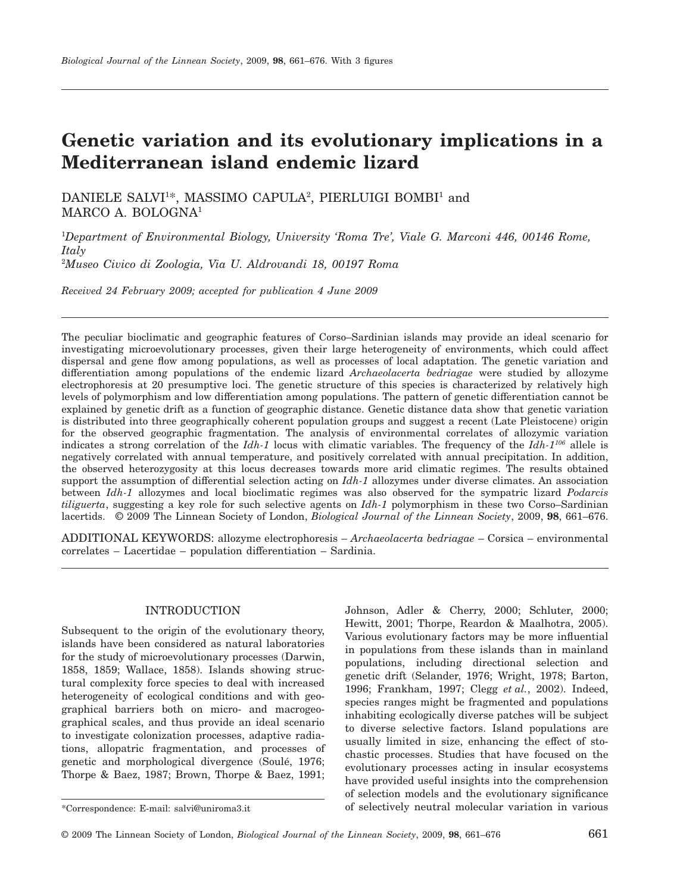# **Genetic variation and its evolutionary implications in a Mediterranean island endemic lizard**

DANIELE SALVI<sup>1</sup>\*, MASSIMO CAPULA<sup>2</sup>, PIERLUIGI BOMBI<sup>1</sup> and MARCO A. BOLOGNA1

1 *Department of Environmental Biology, University 'Roma Tre', Viale G. Marconi 446, 00146 Rome, Italy* 2 *Museo Civico di Zoologia, Via U. Aldrovandi 18, 00197 Roma*

*Received 24 February 2009; accepted for publication 4 June 2009* 

The peculiar bioclimatic and geographic features of Corso–Sardinian islands may provide an ideal scenario for investigating microevolutionary processes, given their large heterogeneity of environments, which could affect dispersal and gene flow among populations, as well as processes of local adaptation. The genetic variation and differentiation among populations of the endemic lizard *Archaeolacerta bedriagae* were studied by allozyme electrophoresis at 20 presumptive loci. The genetic structure of this species is characterized by relatively high levels of polymorphism and low differentiation among populations. The pattern of genetic differentiation cannot be explained by genetic drift as a function of geographic distance. Genetic distance data show that genetic variation is distributed into three geographically coherent population groups and suggest a recent (Late Pleistocene) origin for the observed geographic fragmentation. The analysis of environmental correlates of allozymic variation indicates a strong correlation of the *Idh-1* locus with climatic variables. The frequency of the *Idh-1106* allele is negatively correlated with annual temperature, and positively correlated with annual precipitation. In addition, the observed heterozygosity at this locus decreases towards more arid climatic regimes. The results obtained support the assumption of differential selection acting on *Idh-1* allozymes under diverse climates. An association between *Idh-1* allozymes and local bioclimatic regimes was also observed for the sympatric lizard *Podarcis tiliguerta*, suggesting a key role for such selective agents on *Idh-1* polymorphism in these two Corso–Sardinian lacertids. © 2009 The Linnean Society of London, *Biological Journal of the Linnean Society*, 2009, **98**, 661–676.

ADDITIONAL KEYWORDS: allozyme electrophoresis – *Archaeolacerta bedriagae* – Corsica – environmental correlates – Lacertidae – population differentiation – Sardinia.

# INTRODUCTION

Subsequent to the origin of the evolutionary theory, islands have been considered as natural laboratories for the study of microevolutionary processes (Darwin, 1858, 1859; Wallace, 1858). Islands showing structural complexity force species to deal with increased heterogeneity of ecological conditions and with geographical barriers both on micro- and macrogeographical scales, and thus provide an ideal scenario to investigate colonization processes, adaptive radiations, allopatric fragmentation, and processes of genetic and morphological divergence (Soulé, 1976; Thorpe & Baez, 1987; Brown, Thorpe & Baez, 1991;

Johnson, Adler & Cherry, 2000; Schluter, 2000; Hewitt, 2001; Thorpe, Reardon & Maalhotra, 2005). Various evolutionary factors may be more influential in populations from these islands than in mainland populations, including directional selection and genetic drift (Selander, 1976; Wright, 1978; Barton, 1996; Frankham, 1997; Clegg *et al.*, 2002). Indeed, species ranges might be fragmented and populations inhabiting ecologically diverse patches will be subject to diverse selective factors. Island populations are usually limited in size, enhancing the effect of stochastic processes. Studies that have focused on the evolutionary processes acting in insular ecosystems have provided useful insights into the comprehension of selection models and the evolutionary significance \*Correspondence: E-mail: salvi@uniroma3.it of selectively neutral molecular variation in various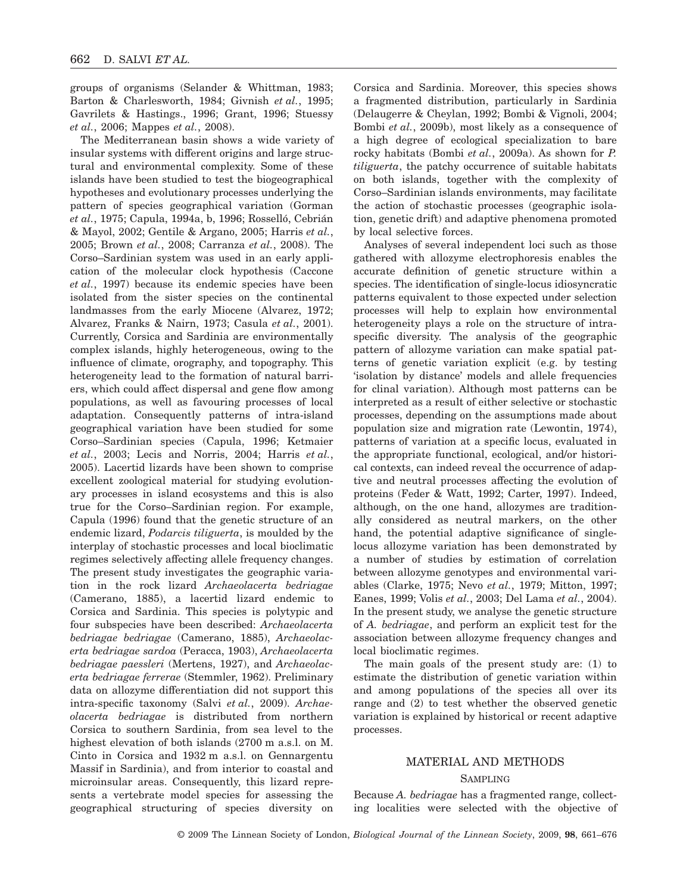groups of organisms (Selander & Whittman, 1983; Barton & Charlesworth, 1984; Givnish *et al.*, 1995; Gavrilets & Hastings., 1996; Grant, 1996; Stuessy *et al.*, 2006; Mappes *et al.*, 2008).

The Mediterranean basin shows a wide variety of insular systems with different origins and large structural and environmental complexity. Some of these islands have been studied to test the biogeographical hypotheses and evolutionary processes underlying the pattern of species geographical variation (Gorman *et al.*, 1975; Capula, 1994a, b, 1996; Rosselló, Cebrián & Mayol, 2002; Gentile & Argano, 2005; Harris *et al.*, 2005; Brown *et al.*, 2008; Carranza *et al.*, 2008). The Corso–Sardinian system was used in an early application of the molecular clock hypothesis (Caccone *et al.*, 1997) because its endemic species have been isolated from the sister species on the continental landmasses from the early Miocene (Alvarez, 1972; Alvarez, Franks & Nairn, 1973; Casula *et al.*, 2001). Currently, Corsica and Sardinia are environmentally complex islands, highly heterogeneous, owing to the influence of climate, orography, and topography. This heterogeneity lead to the formation of natural barriers, which could affect dispersal and gene flow among populations, as well as favouring processes of local adaptation. Consequently patterns of intra-island geographical variation have been studied for some Corso–Sardinian species (Capula, 1996; Ketmaier *et al.*, 2003; Lecis and Norris, 2004; Harris *et al.*, 2005). Lacertid lizards have been shown to comprise excellent zoological material for studying evolutionary processes in island ecosystems and this is also true for the Corso–Sardinian region. For example, Capula (1996) found that the genetic structure of an endemic lizard, *Podarcis tiliguerta*, is moulded by the interplay of stochastic processes and local bioclimatic regimes selectively affecting allele frequency changes. The present study investigates the geographic variation in the rock lizard *Archaeolacerta bedriagae* (Camerano, 1885), a lacertid lizard endemic to Corsica and Sardinia. This species is polytypic and four subspecies have been described: *Archaeolacerta bedriagae bedriagae* (Camerano, 1885), *Archaeolacerta bedriagae sardoa* (Peracca, 1903), *Archaeolacerta bedriagae paessleri* (Mertens, 1927), and *Archaeolacerta bedriagae ferrerae* (Stemmler, 1962). Preliminary data on allozyme differentiation did not support this intra-specific taxonomy (Salvi *et al.*, 2009). *Archaeolacerta bedriagae* is distributed from northern Corsica to southern Sardinia, from sea level to the highest elevation of both islands (2700 m a.s.l. on M. Cinto in Corsica and 1932 m a.s.l. on Gennargentu Massif in Sardinia), and from interior to coastal and microinsular areas. Consequently, this lizard represents a vertebrate model species for assessing the geographical structuring of species diversity on

Corsica and Sardinia. Moreover, this species shows a fragmented distribution, particularly in Sardinia (Delaugerre & Cheylan, 1992; Bombi & Vignoli, 2004; Bombi *et al.*, 2009b), most likely as a consequence of a high degree of ecological specialization to bare rocky habitats (Bombi *et al.*, 2009a). As shown for *P. tiliguerta*, the patchy occurrence of suitable habitats on both islands, together with the complexity of Corso–Sardinian islands environments, may facilitate the action of stochastic processes (geographic isolation, genetic drift) and adaptive phenomena promoted by local selective forces.

Analyses of several independent loci such as those gathered with allozyme electrophoresis enables the accurate definition of genetic structure within a species. The identification of single-locus idiosyncratic patterns equivalent to those expected under selection processes will help to explain how environmental heterogeneity plays a role on the structure of intraspecific diversity. The analysis of the geographic pattern of allozyme variation can make spatial patterns of genetic variation explicit (e.g. by testing 'isolation by distance' models and allele frequencies for clinal variation). Although most patterns can be interpreted as a result of either selective or stochastic processes, depending on the assumptions made about population size and migration rate (Lewontin, 1974), patterns of variation at a specific locus, evaluated in the appropriate functional, ecological, and/or historical contexts, can indeed reveal the occurrence of adaptive and neutral processes affecting the evolution of proteins (Feder & Watt, 1992; Carter, 1997). Indeed, although, on the one hand, allozymes are traditionally considered as neutral markers, on the other hand, the potential adaptive significance of singlelocus allozyme variation has been demonstrated by a number of studies by estimation of correlation between allozyme genotypes and environmental variables (Clarke, 1975; Nevo *et al.*, 1979; Mitton, 1997; Eanes, 1999; Volis *et al.*, 2003; Del Lama *et al.*, 2004). In the present study, we analyse the genetic structure of *A. bedriagae*, and perform an explicit test for the association between allozyme frequency changes and local bioclimatic regimes.

The main goals of the present study are: (1) to estimate the distribution of genetic variation within and among populations of the species all over its range and (2) to test whether the observed genetic variation is explained by historical or recent adaptive processes.

#### MATERIAL AND METHODS

#### SAMPLING

Because *A. bedriagae* has a fragmented range, collecting localities were selected with the objective of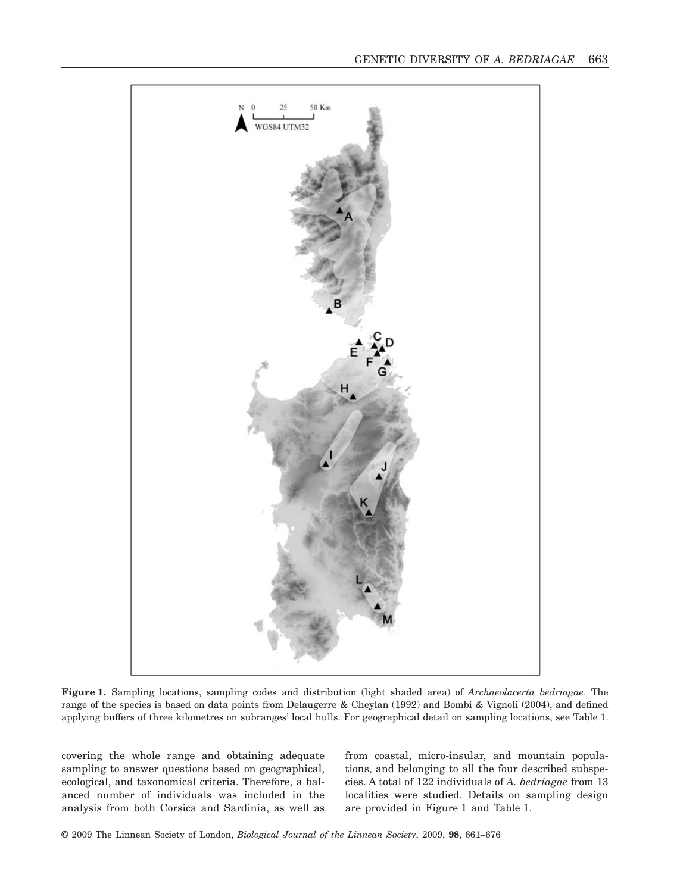

**Figure 1.** Sampling locations, sampling codes and distribution (light shaded area) of *Archaeolacerta bedriagae*. The range of the species is based on data points from Delaugerre & Cheylan (1992) and Bombi & Vignoli (2004), and defined applying buffers of three kilometres on subranges' local hulls. For geographical detail on sampling locations, see Table 1.

covering the whole range and obtaining adequate sampling to answer questions based on geographical, ecological, and taxonomical criteria. Therefore, a balanced number of individuals was included in the analysis from both Corsica and Sardinia, as well as from coastal, micro-insular, and mountain populations, and belonging to all the four described subspecies. A total of 122 individuals of *A. bedriagae* from 13 localities were studied. Details on sampling design are provided in Figure 1 and Table 1.

© 2009 The Linnean Society of London, *Biological Journal of the Linnean Society*, 2009, **98**, 661–676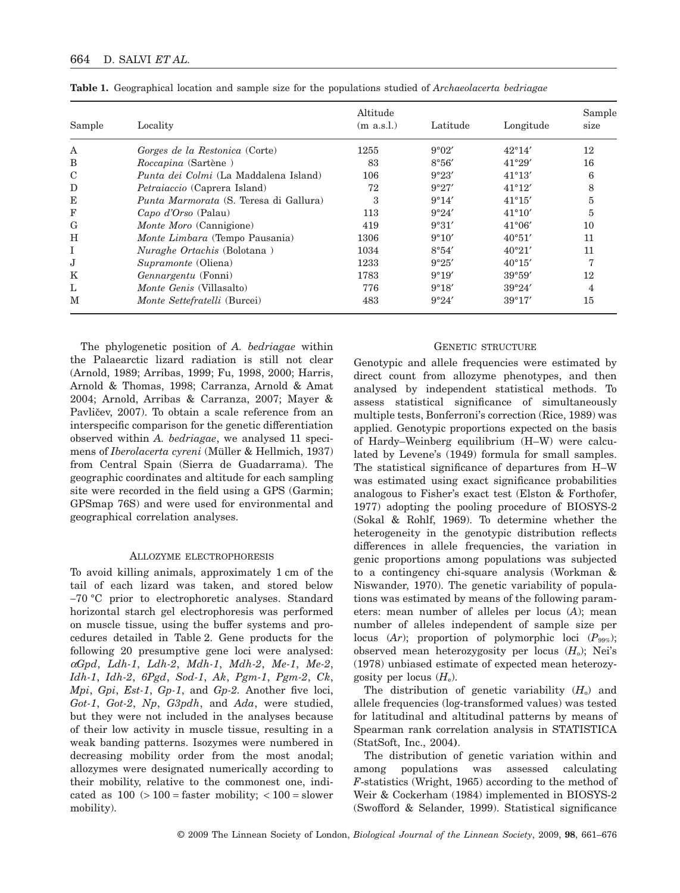| Sample      | Locality                                      | Altitude<br>$(m$ a.s.l.) | Latitude | Longitude       | Sample<br>size |
|-------------|-----------------------------------------------|--------------------------|----------|-----------------|----------------|
| A           | Gorges de la Restonica (Corte)                | 1255                     | 9°02'    | $42^{\circ}14'$ | 12             |
| B           | Roccapina (Sartène)                           | 83                       | 8°56'    | 41°29'          | 16             |
| C           | <i>Punta dei Colmi</i> (La Maddalena Island)  | 106                      | 9°23'    | $41^{\circ}13'$ | 6              |
| D           | <i>Petraiaccio</i> (Caprera Island)           | 72                       | 9°27'    | 41°12'          | 8              |
| E           | <i>Punta Marmorata</i> (S. Teresa di Gallura) | $\mathcal{S}$            | 9°14'    | $41^{\circ}15'$ | 5              |
| $\mathbf F$ | Capo d'Orso (Palau)                           | 113                      | 9°24'    | $41^{\circ}10'$ | 5              |
| G           | <i>Monte Moro</i> (Cannigione)                | 419                      | 9°31'    | $41^{\circ}06'$ | 10             |
| H           | Monte Limbara (Tempo Pausania)                | 1306                     | 9°10'    | $40^{\circ}51'$ | 11             |
| I           | <i>Nuraghe Ortachis</i> (Bolotana)            | 1034                     | 8°54'    | 40°21'          | 11             |
| J           | Supramonte (Oliena)                           | 1233                     | 9°25'    | $40^{\circ}15'$ | 7              |
| K           | Gennargentu (Fonni)                           | 1783                     | 9°19'    | 39°59'          | 12             |
| L           | <i>Monte Genis</i> (Villasalto)               | 776                      | 9°18'    | 39°24'          | 4              |
| M           | Monte Settefratelli (Burcei)                  | 483                      | 9°24'    | 39°17'          | 15             |

**Table 1.** Geographical location and sample size for the populations studied of *Archaeolacerta bedriagae*

The phylogenetic position of *A. bedriagae* within the Palaearctic lizard radiation is still not clear (Arnold, 1989; Arribas, 1999; Fu, 1998, 2000; Harris, Arnold & Thomas, 1998; Carranza, Arnold & Amat 2004; Arnold, Arribas & Carranza, 2007; Mayer & Pavličev, 2007). To obtain a scale reference from an interspecific comparison for the genetic differentiation observed within *A. bedriagae*, we analysed 11 specimens of *Iberolacerta cyreni* (Müller & Hellmich, 1937) from Central Spain (Sierra de Guadarrama). The geographic coordinates and altitude for each sampling site were recorded in the field using a GPS (Garmin; GPSmap 76S) and were used for environmental and geographical correlation analyses.

#### ALLOZYME ELECTROPHORESIS

To avoid killing animals, approximately 1 cm of the tail of each lizard was taken, and stored below -70 °C prior to electrophoretic analyses. Standard horizontal starch gel electrophoresis was performed on muscle tissue, using the buffer systems and procedures detailed in Table 2. Gene products for the following 20 presumptive gene loci were analysed: a*Gpd*, *Ldh-1*, *Ldh-2*, *Mdh-1*, *Mdh-2*, *Me-1*, *Me-2*, *Idh-1*, *Idh-2*, *6Pgd*, *Sod-1*, *Ak*, *Pgm-1*, *Pgm-2*, *Ck*, *Mpi*, *Gpi*, *Est-1*, *Gp-1*, and *Gp-2.* Another five loci, *Got-1*, *Got-2*, *Np*, *G3pdh*, and *Ada*, were studied, but they were not included in the analyses because of their low activity in muscle tissue, resulting in a weak banding patterns. Isozymes were numbered in decreasing mobility order from the most anodal; allozymes were designated numerically according to their mobility, relative to the commonest one, indicated as  $100$   $(>100 =$  faster mobility;  $< 100 =$  slower mobility).

## GENETIC STRUCTURE

Genotypic and allele frequencies were estimated by direct count from allozyme phenotypes, and then analysed by independent statistical methods. To assess statistical significance of simultaneously multiple tests, Bonferroni's correction (Rice, 1989) was applied. Genotypic proportions expected on the basis of Hardy–Weinberg equilibrium (H–W) were calculated by Levene's (1949) formula for small samples. The statistical significance of departures from H–W was estimated using exact significance probabilities analogous to Fisher's exact test (Elston & Forthofer, 1977) adopting the pooling procedure of BIOSYS-2 (Sokal & Rohlf, 1969). To determine whether the heterogeneity in the genotypic distribution reflects differences in allele frequencies, the variation in genic proportions among populations was subjected to a contingency chi-square analysis (Workman & Niswander, 1970). The genetic variability of populations was estimated by means of the following parameters: mean number of alleles per locus (*A*); mean number of alleles independent of sample size per locus  $(Ar)$ ; proportion of polymorphic loci  $(P_{99\%})$ ; observed mean heterozygosity per locus (*H*o); Nei's (1978) unbiased estimate of expected mean heterozygosity per locus (*H*e).

The distribution of genetic variability  $(H_0)$  and allele frequencies (log-transformed values) was tested for latitudinal and altitudinal patterns by means of Spearman rank correlation analysis in STATISTICA (StatSoft, Inc., 2004**)**.

The distribution of genetic variation within and among populations was assessed calculating *F*-statistics (Wright, 1965) according to the method of Weir & Cockerham (1984) implemented in BIOSYS-2 (Swofford & Selander, 1999). Statistical significance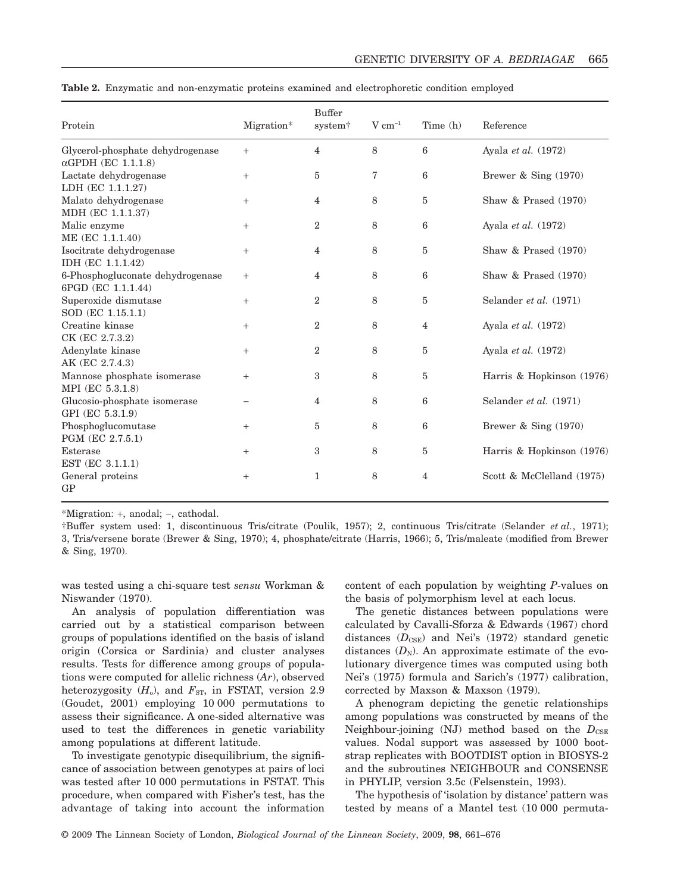| Protein                                                        | Migration*      | <b>Buffer</b><br>system <sup>+</sup> | $V \, \text{cm}^{-1}$ | Time (h) | Reference                 |
|----------------------------------------------------------------|-----------------|--------------------------------------|-----------------------|----------|---------------------------|
| Glycerol-phosphate dehydrogenase<br>$\alpha$ GPDH (EC 1.1.1.8) | $+$             | 4                                    | 8                     | 6        | Ayala et al. (1972)       |
| Lactate dehydrogenase<br>LDH (EC 1.1.1.27)                     | $\! + \!\!\!\!$ | 5                                    | 7                     | 6        | Brewer $\&$ Sing (1970)   |
| Malato dehydrogenase<br>MDH (EC 1.1.1.37)                      | $+$             | 4                                    | 8                     | 5        | Shaw & Prased (1970)      |
| Malic enzyme<br>ME (EC 1.1.1.40)                               | $^{+}$          | $\overline{2}$                       | 8                     | 6        | Ayala et al. (1972)       |
| Isocitrate dehydrogenase<br>IDH (EC 1.1.1.42)                  | $^{+}$          | 4                                    | 8                     | 5        | Shaw & Prased (1970)      |
| 6-Phosphogluconate dehydrogenase<br>6PGD (EC 1.1.1.44)         | $+$             | 4                                    | 8                     | 6        | Shaw & Prased (1970)      |
| Superoxide dismutase<br>SOD (EC 1.15.1.1)                      | $+$             | $\overline{2}$                       | 8                     | 5        | Selander et al. (1971)    |
| Creatine kinase<br>CK (EC 2.7.3.2)                             | $+$             | $\overline{2}$                       | 8                     | 4        | Ayala et al. (1972)       |
| Adenylate kinase<br>AK (EC 2.7.4.3)                            | $+$             | $\overline{2}$                       | 8                     | 5        | Ayala et al. (1972)       |
| Mannose phosphate isomerase<br>MPI (EC 5.3.1.8)                | $+$             | 3                                    | 8                     | 5        | Harris & Hopkinson (1976) |
| Glucosio-phosphate isomerase<br>GPI (EC 5.3.1.9)               |                 | 4                                    | 8                     | 6        | Selander et al. (1971)    |
| Phosphoglucomutase<br>PGM (EC 2.7.5.1)                         | $+$             | 5                                    | 8                     | 6        | Brewer $&$ Sing $(1970)$  |
| Esterase<br>EST (EC 3.1.1.1)                                   | $+$             | 3                                    | 8                     | 5        | Harris & Hopkinson (1976) |
| General proteins<br>GP                                         | $^{+}$          | $\mathbf 1$                          | 8                     | 4        | Scott & McClelland (1975) |

**Table 2.** Enzymatic and non-enzymatic proteins examined and electrophoretic condition employed

\*Migration: +, anodal; -, cathodal.

†Buffer system used: 1, discontinuous Tris/citrate (Poulik, 1957); 2, continuous Tris/citrate (Selander *et al.*, 1971); 3, Tris/versene borate (Brewer & Sing, 1970); 4, phosphate/citrate (Harris, 1966); 5, Tris/maleate (modified from Brewer & Sing, 1970).

was tested using a chi-square test *sensu* Workman & Niswander (1970).

An analysis of population differentiation was carried out by a statistical comparison between groups of populations identified on the basis of island origin (Corsica or Sardinia) and cluster analyses results. Tests for difference among groups of populations were computed for allelic richness (*Ar*), observed heterozygosity  $(H_0)$ , and  $F_{ST}$ , in FSTAT, version 2.9 (Goudet, 2001) employing 10 000 permutations to assess their significance. A one-sided alternative was used to test the differences in genetic variability among populations at different latitude.

To investigate genotypic disequilibrium, the significance of association between genotypes at pairs of loci was tested after 10 000 permutations in FSTAT. This procedure, when compared with Fisher's test, has the advantage of taking into account the information content of each population by weighting *P*-values on the basis of polymorphism level at each locus.

The genetic distances between populations were calculated by Cavalli-Sforza & Edwards (1967) chord distances  $(D_{\text{CSE}})$  and Nei's (1972) standard genetic distances  $(D_N)$ . An approximate estimate of the evolutionary divergence times was computed using both Nei's (1975) formula and Sarich's (1977) calibration, corrected by Maxson & Maxson (1979).

A phenogram depicting the genetic relationships among populations was constructed by means of the Neighbour-joining  $(NJ)$  method based on the  $D_{CSE}$ values. Nodal support was assessed by 1000 bootstrap replicates with BOOTDIST option in BIOSYS-2 and the subroutines NEIGHBOUR and CONSENSE in PHYLIP, version 3.5c (Felsenstein, 1993).

The hypothesis of 'isolation by distance' pattern was tested by means of a Mantel test (10 000 permuta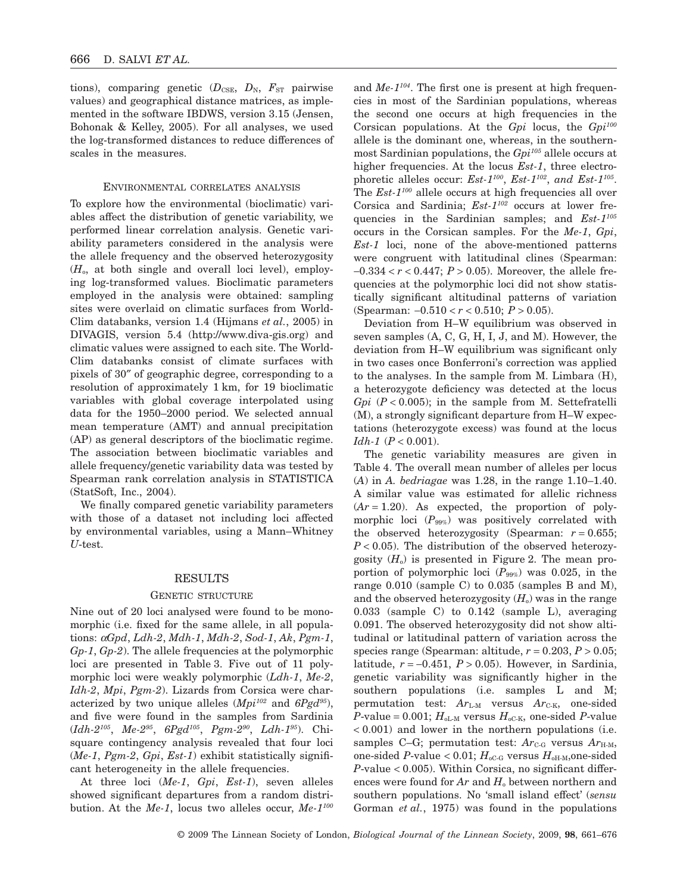tions), comparing genetic  $(D_{\text{CSE}}, D_{\text{N}}, F_{\text{ST}})$  pairwise values) and geographical distance matrices, as implemented in the software IBDWS, version 3.15 (Jensen, Bohonak & Kelley, 2005). For all analyses, we used the log-transformed distances to reduce differences of scales in the measures.

#### ENVIRONMENTAL CORRELATES ANALYSIS

To explore how the environmental (bioclimatic) variables affect the distribution of genetic variability, we performed linear correlation analysis. Genetic variability parameters considered in the analysis were the allele frequency and the observed heterozygosity  $(H<sub>o</sub>$ , at both single and overall loci level), employing log-transformed values. Bioclimatic parameters employed in the analysis were obtained: sampling sites were overlaid on climatic surfaces from World-Clim databanks, version 1.4 (Hijmans *et al.*, 2005) in DIVAGIS, version 5.4 (http://www.diva-gis.org) and climatic values were assigned to each site. The World-Clim databanks consist of climate surfaces with pixels of 30″ of geographic degree, corresponding to a resolution of approximately 1 km, for 19 bioclimatic variables with global coverage interpolated using data for the 1950–2000 period. We selected annual mean temperature (AMT) and annual precipitation (AP) as general descriptors of the bioclimatic regime. The association between bioclimatic variables and allele frequency/genetic variability data was tested by Spearman rank correlation analysis in STATISTICA (StatSoft, Inc., 2004).

We finally compared genetic variability parameters with those of a dataset not including loci affected by environmental variables, using a Mann–Whitney *U*-test.

# RESULTS

## GENETIC STRUCTURE

Nine out of 20 loci analysed were found to be monomorphic (i.e. fixed for the same allele, in all populations: a*Gpd*, *Ldh-2*, *Mdh-1*, *Mdh-2*, *Sod-1*, *Ak*, *Pgm-1*, *Gp-1*, *Gp-2*). The allele frequencies at the polymorphic loci are presented in Table 3. Five out of 11 polymorphic loci were weakly polymorphic (*Ldh-1*, *Me-2*, *Idh-2*, *Mpi*, *Pgm-2*). Lizards from Corsica were characterized by two unique alleles (*Mpi102* and *6Pgd95*), and five were found in the samples from Sardinia (*Idh-2105*, *Me-295*, *6Pgd105*, *Pgm-290*, *Ldh-195*). Chisquare contingency analysis revealed that four loci (*Me-1*, *Pgm-2*, *Gpi*, *Est-1*) exhibit statistically significant heterogeneity in the allele frequencies.

At three loci (*Me-1*, *Gpi*, *Est-1*), seven alleles showed significant departures from a random distribution. At the *Me-1*, locus two alleles occur, *Me-1100* and  $Me-1^{104}$ . The first one is present at high frequencies in most of the Sardinian populations, whereas the second one occurs at high frequencies in the Corsican populations. At the *Gpi* locus, the *Gpi100* allele is the dominant one, whereas, in the southernmost Sardinian populations, the *Gpi105* allele occurs at higher frequencies. At the locus *Est-1*, three electrophoretic alleles occur: *Est-1100*, *Est-1102*, *and Est-1105*. The *Est-1<sup>100</sup>* allele occurs at high frequencies all over Corsica and Sardinia; *Est-1<sup>102</sup>* occurs at lower frequencies in the Sardinian samples; and *Est-1105* occurs in the Corsican samples. For the *Me-1*, *Gpi*, *Est-1* loci, none of the above-mentioned patterns were congruent with latitudinal clines (Spearman:  $-0.334 < r < 0.447$ ;  $P > 0.05$ ). Moreover, the allele frequencies at the polymorphic loci did not show statistically significant altitudinal patterns of variation (Spearman: -0.510 < *r* < 0.510; *P* > 0.05).

Deviation from H–W equilibrium was observed in seven samples (A, C, G, H, I, J, and M). However, the deviation from H–W equilibrium was significant only in two cases once Bonferroni's correction was applied to the analyses. In the sample from M. Limbara (H), a heterozygote deficiency was detected at the locus *Gpi* (*P* < 0.005); in the sample from M. Settefratelli (M), a strongly significant departure from H–W expectations (heterozygote excess) was found at the locus *Idh-1* (*P* < 0.001).

The genetic variability measures are given in Table 4. The overall mean number of alleles per locus (*A*) in *A. bedriagae* was 1.28, in the range 1.10–1.40. A similar value was estimated for allelic richness  $Ar = 1.20$ . As expected, the proportion of polymorphic loci  $(P_{99\%})$  was positively correlated with the observed heterozygosity (Spearman:  $r = 0.655$ ;  $P < 0.05$ ). The distribution of the observed heterozygosity  $(H<sub>o</sub>)$  is presented in Figure 2. The mean proportion of polymorphic loci  $(P_{99\%})$  was 0.025, in the range 0.010 (sample C) to 0.035 (samples B and M), and the observed heterozygosity  $(H_0)$  was in the range 0.033 (sample C) to 0.142 (sample L), averaging 0.091. The observed heterozygosity did not show altitudinal or latitudinal pattern of variation across the species range (Spearman: altitude,  $r = 0.203$ ,  $P > 0.05$ ; latitude, *r* = -0.451, *P* > 0.05). However, in Sardinia, genetic variability was significantly higher in the southern populations (i.e. samples L and M; permutation test:  $Ar<sub>L-M</sub>$  versus  $Ar<sub>C-K</sub>$ , one-sided *P*-value = 0.001;  $H_{0LM}$  versus  $H_{0CK}$ , one-sided *P*-value < 0.001) and lower in the northern populations (i.e. samples C–G; permutation test:  $Ar_{C-G}$  versus  $Ar_{H-M}$ , one-sided *P*-value < 0.01;  $H_{\text{oC-G}}$  versus  $H_{\text{oH-M}}$ , one-sided *P*-value < 0.005). Within Corsica, no significant differences were found for *Ar* and *H*<sub>o</sub> between northern and southern populations. No 'small island effect' (*sensu* Gorman *et al.*, 1975) was found in the populations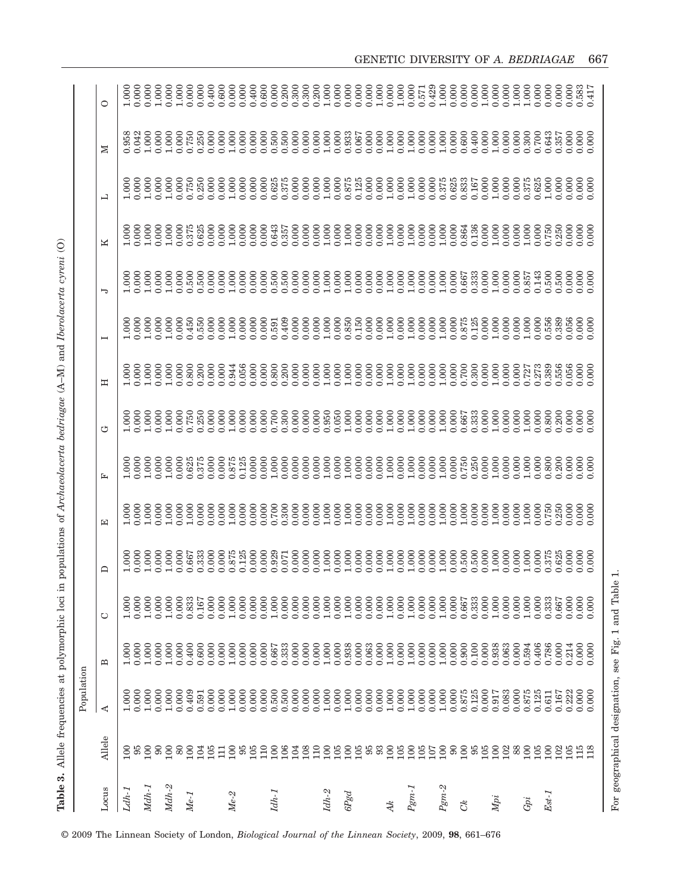Table 3. Allele frequencies at polymorphic loci in populations of Archaeolacerta bedriagae (A-M) and Iberolacerta cyreni (O) **Table 3.** Allele frequencies at polymorphic loci in populations of *Archaeolacerta bedriagae* (A–M) and *Iberolacerta cyreni* (O)

|            | $\circ$      | 1.000            | 0.000 | 0.000     | 1.000    | 0.000   | 1.000 | 0.000            | 0.000 | 0.400 | 0.600 | 0.000  | 0.000 | 0.600<br>0.400 | 0.000 | 0.200 | 0.300 | 0.300 | 0.200 | 1.000   | 0.000 | 0.000 | 0.000 | 0.000 | 1.000 | 0.000 | 1.000<br>0.000 | 0.571   | 0.429 | 1.000   | 0.000                      | 0.000 | 0.000 | 1.000<br>0.000 | 0.000 | 1.000 | 1.000   | 0.000 | 0.000            | 0.000 | 0.000 | 0.583 | 0.417           |
|------------|--------------|------------------|-------|-----------|----------|---------|-------|------------------|-------|-------|-------|--------|-------|----------------|-------|-------|-------|-------|-------|---------|-------|-------|-------|-------|-------|-------|----------------|---------|-------|---------|----------------------------|-------|-------|----------------|-------|-------|---------|-------|------------------|-------|-------|-------|-----------------|
|            | ≍            | 0.958            | 0.042 | 1.000     | 0.000    | 1.000   | 0.000 | 0.750            | 0.250 | 0.000 | 0.000 | 1.000  | 0.000 | 0.000<br>0.000 | 0.500 | 0.500 | 0.000 | 0.000 | 0.000 | 1.000   | 0.000 | 0.933 | 0.067 | 0.000 | 0.000 | 1.000 | 0.000<br>1.000 | 0.000   | 0.000 | 1.000   | 0.000                      | 0.600 | 0.400 | 0.000<br>1.000 | 0.000 | 0.000 | 0.300   | 0.700 | 0.643            | 0.357 | 0.000 | 0.000 | 0.000           |
|            | 凵            | 000              | 0.000 | 1.000     | 0.000    | 1.000   | 0.000 | 0.750            | 0.250 | 0.000 | 0.000 | 1.000  | 0.000 | 0.000<br>0.000 | 0.625 | 0.375 | 0.000 | 0.000 | 0.000 | 1.000   | 0.000 | 0.875 | 0.125 | 0.000 | 0.000 | 1.000 | 0.000<br>1.000 | 0.000   | 0.000 | 0.375   | 0.625                      | 0.833 | 0.167 | 0.000<br>1.000 | 0.000 | 0.000 | 0.375   | 0.625 | 1.000            | 0.000 | 0.000 | 0.000 | 0.000           |
|            | ĸ            | 1.000            | 0.000 | 1.000     | 0.000    | 1.000   | 0.000 | 0.375            | 0.625 | 0.000 | 0.000 | 1.000  | 0.000 | 0.000<br>0.000 | 0.643 | 0.357 | 0.000 | 0.000 | 0.000 | $1.000$ | 0.000 | 1.000 | 0.000 | 0.000 | 0.000 | 1.000 | 0.000<br>1.000 | 0.000   | 0.000 | 1.000   | 0.000                      | 0.864 | 0.136 | 0.000<br>1.000 | 0.000 | 0.000 | $1.000$ | 0.000 | 0.750            | 0.250 | 0.000 | 0.000 | 0.000           |
|            | ь            | 000              | 0.000 | 1.000     | 0.000    | 1.000   | 0.000 | 0.500            | 0.500 | 0.000 | 0.000 | 1.000  | 0.000 | 0.000<br>0.000 | 0.500 | 0.500 | 0.000 | 0.000 | 0.000 | 1.000   | 0.000 | 1.000 | 0.000 | 0.000 | 0.000 | 1.000 | 0.000<br>1.000 | 0.000   | 0.000 | 1.000   | 0.000                      | 0.667 | 0.333 | 0.000<br>1.000 | 0.000 | 0.000 | 0.857   | 0.143 | 0.500            | 0.500 | 0.000 | 0.000 | 0.000           |
|            |              | $000$ .          | 0.000 | 1.000     | 0.000    | 1.000   | 0.000 | 0.450            | 0.550 | 0.000 | 0.000 | 1.000  | 0.000 | 0.000<br>0.000 | 0.591 | 0.409 | 0.000 | 0.000 | 0.000 | 1.000   | 0.000 | 0.850 | 0.150 | 0.000 | 0.000 | 1.000 | 1.000<br>0.000 | 0.000   | 0.000 | 1.000   | 0.000                      | 0.875 | 0.125 | 0.000<br>1.000 | 0.000 | 0.000 | 1.000   | 0.000 | 0.556            | 0.389 | 0.056 | 0.000 | 0.000           |
|            | ェ            | 1.000            | 0.000 | 1.000     | 0.000    | 1.000   | 0.000 | 0.800            | 0.200 | 0.000 | 0.000 | 0.944  | 0.056 | 0.000<br>0.000 | 0.800 | 0.200 | 0.000 | 0.000 | 0.000 | 1.000   | 0.000 | 1.000 | 0.000 | 0.000 | 0.000 | 1.000 | 0.000<br>1.000 | 0.000   | 0.000 | 1.000   | 0.000                      | 0.700 | 0.300 | 0.000<br>1.000 | 0.000 | 0.000 | 0.727   | 0.273 | 0.389            | 0.556 | 0.056 | 0.000 | 0.000           |
|            | ゼ            | 000              | 0.000 | 1.000     | 0.000    | 1.000   | 0.000 | 0.750            | 0.250 | 0.000 | 0.000 | 1.000  | 0.000 | 0.000<br>0.000 | 0.700 | 0.300 | 0.000 | 0.000 | 0.000 | 0.950   | 0.050 | 1.000 | 0.000 | 0.000 | 0.000 | 1.000 | 0.000<br>1.000 | 0.000   | 0.000 | 1.000   | 0.000                      | 0.667 | 0.333 | 0.000<br>1.000 | 0.000 | 0.000 | 1.000   | 0.000 | 0.800            | 0.200 | 0.000 | 0.000 | 0.000           |
|            | 匞            | 000              | 0.000 | 1.000     | 0.000    | 1.000   | 0.000 | 0.625            | 0.375 | 0.000 | 0.000 | 0.875  | 0.125 | 0.000<br>0.000 | 1.000 | 0.000 | 0.000 | 0.000 | 0.000 | 1.000   | 0.000 | 1.000 | 0.000 | 0.000 | 0.000 | 1.000 | 0.000<br>1.000 | 0.000   | 0.000 | 1.000   | 0.000                      | 0.750 | 0.250 | 0.000<br>1.000 | 0.000 | 0.000 | 1.000   | 0.000 | 0.800            | 0.200 | 0.000 | 0.000 | 0.000           |
|            | 더            | 1.000            | 0.000 | 1.000     | 0.000    | 1.000   | 0.000 | 1.000            | 0.000 | 0.000 | 0.000 | 1.000  | 0.000 | 0.000<br>0.000 | 0.700 | 0.300 | 0.000 | 0.000 | 0.000 | 1.000   | 0.000 | 1.000 | 0.000 | 0.000 | 0.000 | 1.000 | 0.000<br>1.000 | 0.000   | 0.000 | 1.000   | 0.000                      | 1.000 | 0.000 | 0.000<br>1.000 | 0.000 | 0.000 | 1.000   | 0.000 | 0.750            | 0.250 | 0.000 | 0.000 | 0.000           |
|            | ≏            | 1.000            | 0.000 | 1.000     | 0.000    | 1.000   | 0.000 | 0.667            | 0.333 | 0.000 | 0.000 | 0.875  | 0.125 | 0.000<br>0.000 | 0.929 | 0.071 | 0.000 | 0.000 | 0.000 | 1.000   | 0.000 | 1.000 | 0.000 | 0.000 | 0.000 | 1.000 | 0.000<br>1.000 | 0.000   | 0.000 | 1.000   | 0.000                      | 0.500 | 0.500 | 0.000<br>1.000 | 0.000 | 0.000 | 1.000   | 0.000 | 0.375            | 0.625 | 0.000 | 0.000 | 0.000           |
|            | Õ            | 1.000            | 0.000 | $1.000\,$ | 0.000    | 1.000   | 0.000 | 0.833            | 0.167 | 0.000 | 0.000 | 1.000  | 0.000 | 0.000<br>0.000 | 1.000 | 0.000 | 0.000 | 0.000 | 0.000 | 1.000   | 0.000 | 1.000 | 0.000 | 0.000 | 0.000 | 1.000 | 0.000<br>1.000 | 0.000   | 0.000 | 1.000   | 0.000                      | 0.667 | 0.333 | 0.000<br>1.000 | 0.000 | 0.000 | 1.000   | 0.000 | 0.333            | 0.667 | 0.000 | 0.000 | 0.000           |
|            | $\mathbf{a}$ | 1.000            | 0.000 | 1.000     | 0.000    | 1.000   | 0.000 | 0.400            | 0.600 | 0.000 | 0.000 | 1.000  | 0.000 | 0.000<br>0.000 | 0.667 | 0.333 | 0.000 | 0.000 | 0.000 | 1.000   | 0.000 | 0.938 | 0.000 | 0.063 | 0.000 | 1.000 | 0.000<br>1.000 | 0.000   | 0.000 | 1.000   | 0.000                      | 0.900 | 0.100 | 0.000<br>0.938 | 0.063 | 0.000 | 0.594   | 0.406 | 0.786            | 0.000 | 0.214 | 0.000 | 0.000           |
| Population | ∢            | 1.000            | 0.000 | 1.000     | 0.000    | 1.000   | 0.000 | 0.409            | 0.591 | 0.000 | 0.000 | 1.000  | 0.000 | 0.000<br>0.000 | 0.500 | 0.500 | 0.000 | 0.000 | 0.000 | 1.000   | 0.000 | 1.000 | 0.000 | 0.000 | 0.000 | 1.000 | 0.000<br>1.000 | 0.000   | 0.000 | 1.000   | 0.000                      | 0.875 | 0.125 | 0.000<br>0.917 | 0.083 | 0.000 | 0.875   | 0.125 | 0.611            | 0.167 | 0.222 | 0.000 | 0.000           |
|            | Allele       | $\overline{100}$ | 95    | 100       | $\infty$ | 100     | 80    | $\overline{100}$ | 104   | 105   | $\Xi$ | 100    | 95    | 105<br>110     | 100   | 106   | 104   | 108   | 110   | 100     | 105   | 100   | 105   | 95    | 93    | 100   | 105<br>100     | 105     | 107   | 100     | $\boldsymbol{\mathcal{S}}$ | 100   | 95    | 105<br>100     | 102   | 88    | 100     | 105   | $\overline{100}$ | 102   | 105   | $\Xi$ | $\overline{18}$ |
|            | Locus        | $Ldh-1$          |       | $Mdh-1$   |          | $Mdh-2$ |       | $Me-1$           |       |       |       | $Me-2$ |       |                | Idh-1 |       |       |       |       | $Idh-2$ |       | 6Pgd  |       |       |       | Ak    |                | $Pgm-I$ |       | $Pgm-2$ |                            | Ck    |       |                | Mpi   |       | Gpi     |       | $Est-1$          |       |       |       |                 |

For geographical designation, see Fig. 1 and Table 1.

For geographical designation, see Fig. 1 and Table 1.

© 2009 The Linnean Society of London, *Biological Journal of the Linnean Society*, 2009, **98**, 661–676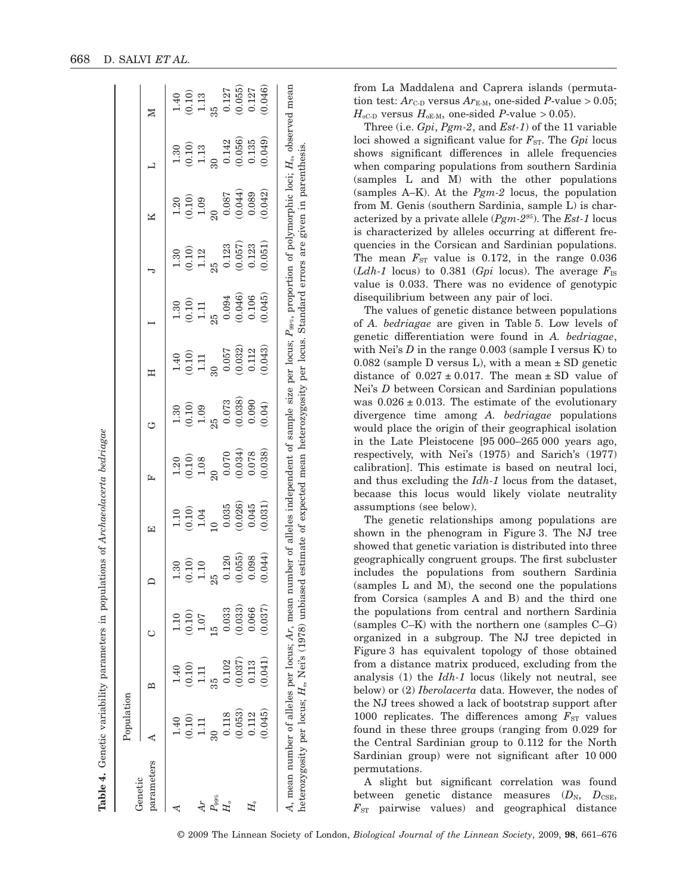|                                                                                                                                                                                                                 | Population |         |                                               |                                                                                                          |                                                                                                           |                                                                                                        |                                                                       |                                                                                                                           |                                                                                                  |                                                                                                            |                                                                                    |                                                                                          |                                                                                    |
|-----------------------------------------------------------------------------------------------------------------------------------------------------------------------------------------------------------------|------------|---------|-----------------------------------------------|----------------------------------------------------------------------------------------------------------|-----------------------------------------------------------------------------------------------------------|--------------------------------------------------------------------------------------------------------|-----------------------------------------------------------------------|---------------------------------------------------------------------------------------------------------------------------|--------------------------------------------------------------------------------------------------|------------------------------------------------------------------------------------------------------------|------------------------------------------------------------------------------------|------------------------------------------------------------------------------------------|------------------------------------------------------------------------------------|
| oarameters<br>Genetic                                                                                                                                                                                           |            |         |                                               |                                                                                                          | 더                                                                                                         | 匞                                                                                                      | Ġ                                                                     | Ξ                                                                                                                         |                                                                                                  |                                                                                                            | K                                                                                  | $\overline{a}$                                                                           | ⊠                                                                                  |
|                                                                                                                                                                                                                 | 0F 1       |         | $\frac{10}{1}$                                |                                                                                                          |                                                                                                           |                                                                                                        |                                                                       |                                                                                                                           |                                                                                                  |                                                                                                            |                                                                                    |                                                                                          |                                                                                    |
|                                                                                                                                                                                                                 | (0.10)     | (0.10)  |                                               | $\begin{array}{c} 1.30 \\ (0.10) \\ 1.10 \\ 25 \\ (0.120 \\ (0.055) \\ (0.098 \\ (0.044) \\ \end{array}$ | $\begin{array}{l} 1.10 \\ 0.10) \\ 1.04 \\ 10 \\ 0.035 \\ 0.026) \\ 0.045 \\ 0.045 \\ 0.031) \end{array}$ | $\begin{array}{c} 1.20 \\ (0.10) \\ 1.08 \\ 20 \\ 0.070 \\ (0.034) \\ 0.078 \\ (0.038) \\ \end{array}$ | $1.30$<br>$(0.10)$<br>$1.09$<br>$2.5$<br>$0.073$<br>$0.038$<br>$0.04$ | $1.40$<br>$(0.10)$<br>$1.11$<br>$30$<br>$0.057$<br>$(0.032)$<br>$0.112$<br>$(0.043)$                                      |                                                                                                  |                                                                                                            |                                                                                    | $\begin{array}{c} 1.30 \\ (0.10) \\ 1.13 \\ 30 \\ 0.142 \\ (0.056) \\ 0.135 \end{array}$ | $1.40$<br>$(0.10)$<br>$1.13$<br>$35$<br>$0.127$<br>$(0.055)$<br>$0.127$<br>$0.046$ |
|                                                                                                                                                                                                                 | 1.11       | $\Xi$   | $\begin{array}{c} (0.10) \\ 1.07 \end{array}$ |                                                                                                          |                                                                                                           |                                                                                                        |                                                                       |                                                                                                                           |                                                                                                  |                                                                                                            |                                                                                    |                                                                                          |                                                                                    |
| $P_{\rm sgs}$                                                                                                                                                                                                   |            |         |                                               |                                                                                                          |                                                                                                           |                                                                                                        |                                                                       |                                                                                                                           |                                                                                                  |                                                                                                            |                                                                                    |                                                                                          |                                                                                    |
|                                                                                                                                                                                                                 | 0.118      | 0.102   | 0.033                                         |                                                                                                          |                                                                                                           |                                                                                                        |                                                                       |                                                                                                                           |                                                                                                  |                                                                                                            |                                                                                    |                                                                                          |                                                                                    |
|                                                                                                                                                                                                                 | (0.053)    | (0.037) | (0.033)                                       |                                                                                                          |                                                                                                           |                                                                                                        |                                                                       |                                                                                                                           |                                                                                                  |                                                                                                            |                                                                                    |                                                                                          |                                                                                    |
|                                                                                                                                                                                                                 | 0.112      | 0.113   | 0.066                                         |                                                                                                          |                                                                                                           |                                                                                                        |                                                                       |                                                                                                                           |                                                                                                  |                                                                                                            |                                                                                    |                                                                                          |                                                                                    |
|                                                                                                                                                                                                                 | (0.045)    | (150.0) | (0.037)                                       |                                                                                                          |                                                                                                           |                                                                                                        |                                                                       |                                                                                                                           | $\begin{array}{c} 1.30 \\ 0.10) \\ 1.11 \\ 25 \\ 0.094 \\ 0.046) \\ 0.106 \\ 0.045) \end{array}$ | $\begin{array}{c} 1.30 \\ (0.10) \\ 1.12 \\ 25 \\ (0.057) \\ (0.057) \\ (0.051) \\ (0.051) \\ \end{array}$ | $1.20$<br>$(0.10)$<br>$1.09$<br>$20$<br>$0.087$<br>$0.044)$<br>$0.089$<br>$0.042)$ | (0.049)                                                                                  |                                                                                    |
| heterozygosity per locus; H <sub>8</sub> , Nei's (1978) unbiased estimate of expected mean heterozygosity per locus. Standard errors are given in parenthesis.<br>A, mean number of alleles per locus; Ar, mean |            |         |                                               |                                                                                                          |                                                                                                           |                                                                                                        |                                                                       | number of alleles independent of sample size per locus; $P_{sys}$ , proportion of polymorphic loci; $H_o$ , observed mean |                                                                                                  |                                                                                                            |                                                                                    |                                                                                          |                                                                                    |

from La Maddalena and Caprera islands (permutation test:  $Ar_{\text{C-D}}$  versus  $Ar_{\text{E-M}}$ , one-sided *P*-value > 0.05;  $H_{\text{oC-D}}$  versus  $H_{\text{oE-M}}$ , one-sided *P*-value > 0.05).

Three (i.e. *Gpi*, *Pgm-2*, and *Est-1*) of the 11 variable loci showed a significant value for  $F_{ST}$ . The  $Gpi$  locus shows significant differences in allele frequencies when comparing populations from southern Sardinia (samples L and M) with the other populations (samples A–K). At the *Pgm-2* locus, the population from M. Genis (southern Sardinia, sample L) is characterized by a private allele (*Pgm-295*). The *Est-1* locus is characterized by alleles occurring at different frequencies in the Corsican and Sardinian populations. The mean  $F_{ST}$  value is 0.172, in the range 0.036 (*Ldh-1* locus) to 0.381 (*Gpi* locus). The average  $F_{\text{IS}}$ value is 0.033. There was no evidence of genotypic disequilibrium between any pair of loci.

The values of genetic distance between populations of *A. bedriagae* are given in Table 5. Low levels of genetic differentiation were found in *A. bedriagae*, with Nei's *D* in the range 0.003 (sample I versus K) to  $0.082$  (sample D versus L), with a mean  $\pm$  SD genetic distance of  $0.027 \pm 0.017$ . The mean  $\pm$  SD value of Nei's *D* between Corsican and Sardinian populations was  $0.026 \pm 0.013$ . The estimate of the evolutionary divergence time among *A. bedriagae* populations would place the origin of their geographical isolation in the Late Pleistocene [95 000–265 000 years ago, respectively, with Nei's (1975) and Sarich's (1977) calibration]. This estimate is based on neutral loci, and thus excluding the *Idh-1* locus from the dataset, becaase this locus would likely violate neutrality assumptions (see below).

The genetic relationships among populations are shown in the phenogram in Figure 3. The NJ tree showed that genetic variation is distributed into three geographically congruent groups. The first subcluster includes the populations from southern Sardinia (samples L and M), the second one the populations from Corsica (samples A and B) and the third one the populations from central and northern Sardinia (samples C–K) with the northern one (samples C–G) organized in a subgroup. The NJ tree depicted in Figure 3 has equivalent topology of those obtained from a distance matrix produced, excluding from the analysis (1) the *Idh-1* locus (likely not neutral, see below) or (2) *Iberolacerta* data. However, the nodes of the NJ trees showed a lack of bootstrap support after 1000 replicates. The differences among  $F_{ST}$  values found in these three groups (ranging from 0.029 for the Central Sardinian group to 0.112 for the North Sardinian group) were not significant after 10 000 permutations.

A slight but significant correlation was found between genetic distance measures  $(D_{N}, D_{\text{CSE}},$  $F_{ST}$  pairwise values) and geographical distance

**Table 4.**

Genetic variability parameters in populations of *Archaeolacerta bedriagae*

Table 4. Genetic variability parameters in populations of Archaeolacerta bedriagae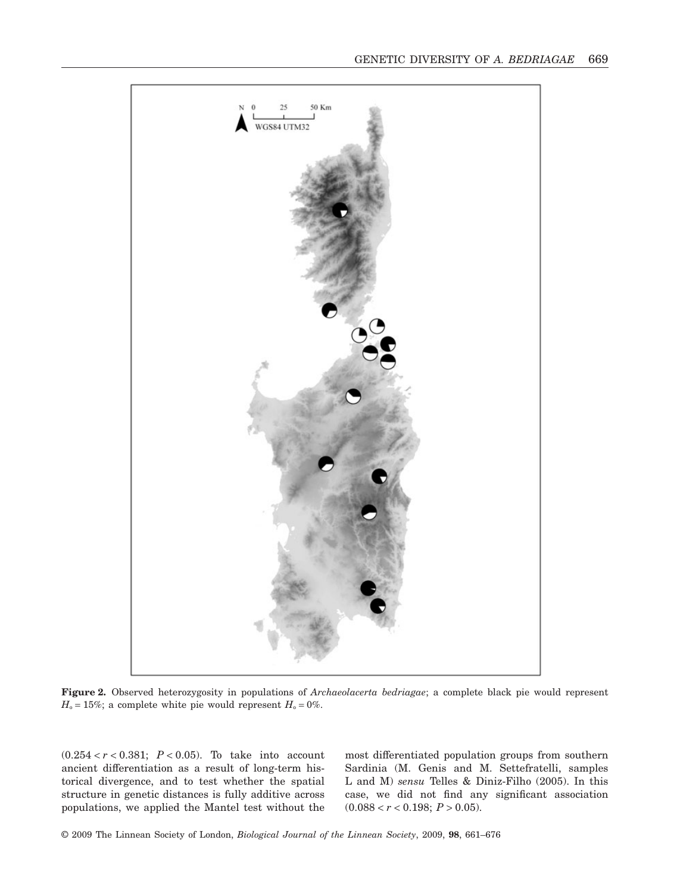

**Figure 2.** Observed heterozygosity in populations of *Archaeolacerta bedriagae*; a complete black pie would represent  $H_0 = 15\%$ ; a complete white pie would represent  $H_0 = 0\%$ .

(0.254 < *r* < 0.381; *P* < 0.05). To take into account ancient differentiation as a result of long-term historical divergence, and to test whether the spatial structure in genetic distances is fully additive across populations, we applied the Mantel test without the

most differentiated population groups from southern Sardinia (M. Genis and M. Settefratelli, samples L and M) *sensu* Telles & Diniz-Filho (2005). In this case, we did not find any significant association  $(0.088 < r < 0.198; P > 0.05)$ .

© 2009 The Linnean Society of London, *Biological Journal of the Linnean Society*, 2009, **98**, 661–676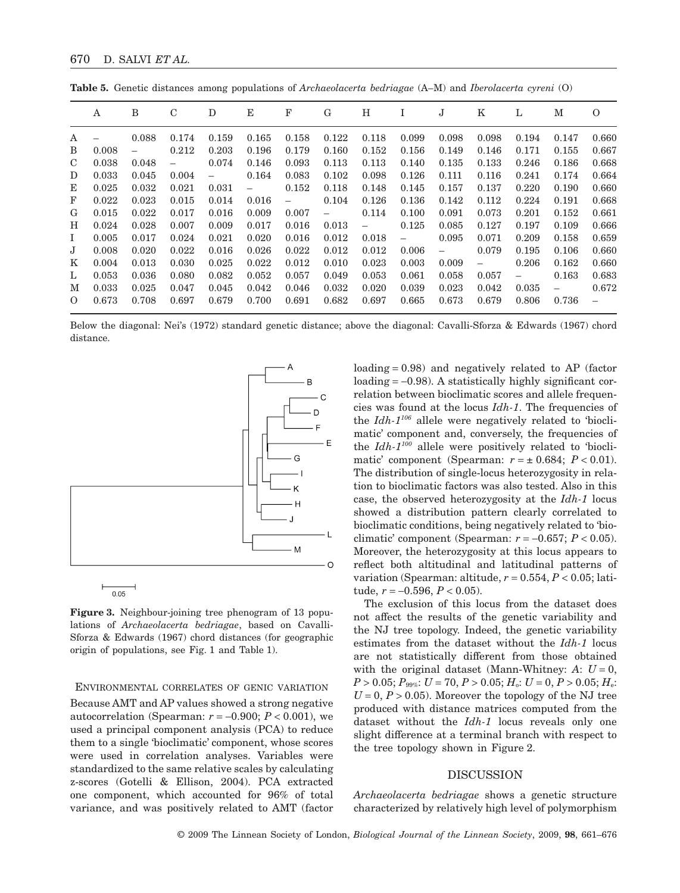|              | A     | B                        | C     | D                        | E     | $\mathbf F$              | G                        | H                 | I                 | J                        | Κ                 | L                        | М                        | $\Omega$                 |
|--------------|-------|--------------------------|-------|--------------------------|-------|--------------------------|--------------------------|-------------------|-------------------|--------------------------|-------------------|--------------------------|--------------------------|--------------------------|
| A            |       | 0.088                    | 0.174 | 0.159                    | 0.165 | 0.158                    | 0.122                    | 0.118             | 0.099             | 0.098                    | 0.098             | 0.194                    | 0.147                    | 0.660                    |
| B            | 0.008 | $\overline{\phantom{0}}$ | 0.212 | 0.203                    | 0.196 | 0.179                    | 0.160                    | 0.152             | 0.156             | 0.149                    | 0.146             | 0.171                    | 0.155                    | 0.667                    |
| C            | 0.038 | 0.048                    |       | 0.074                    | 0.146 | 0.093                    | 0.113                    | 0.113             | 0.140             | 0.135                    | 0.133             | 0.246                    | 0.186                    | 0.668                    |
| D            | 0.033 | 0.045                    | 0.004 | $\overline{\phantom{0}}$ | 0.164 | 0.083                    | 0.102                    | 0.098             | 0.126             | 0.111                    | 0.116             | 0.241                    | 0.174                    | 0.664                    |
| Е            | 0.025 | 0.032                    | 0.021 | 0.031                    | —     | 0.152                    | 0.118                    | 0.148             | 0.145             | 0.157                    | 0.137             | 0.220                    | 0.190                    | 0.660                    |
| F            | 0.022 | 0.023                    | 0.015 | 0.014                    | 0.016 | $\overline{\phantom{m}}$ | 0.104                    | 0.126             | 0.136             | 0.142                    | 0.112             | 0.224                    | 0.191                    | 0.668                    |
| G            | 0.015 | 0.022                    | 0.017 | 0.016                    | 0.009 | 0.007                    | $\overline{\phantom{0}}$ | 0.114             | 0.100             | 0.091                    | 0.073             | 0.201                    | 0.152                    | 0.661                    |
| Η            | 0.024 | 0.028                    | 0.007 | 0.009                    | 0.017 | 0.016                    | 0.013                    | $\qquad \qquad -$ | 0.125             | 0.085                    | 0.127             | 0.197                    | 0.109                    | 0.666                    |
| $\mathbf{I}$ | 0.005 | 0.017                    | 0.024 | 0.021                    | 0.020 | 0.016                    | 0.012                    | 0.018             | $\qquad \qquad -$ | 0.095                    | 0.071             | 0.209                    | 0.158                    | 0.659                    |
| J            | 0.008 | 0.020                    | 0.022 | 0.016                    | 0.026 | 0.022                    | 0.012                    | 0.012             | 0.006             | $\overline{\phantom{m}}$ | 0.079             | 0.195                    | 0.106                    | 0.660                    |
| Κ            | 0.004 | 0.013                    | 0.030 | 0.025                    | 0.022 | 0.012                    | 0.010                    | 0.023             | 0.003             | 0.009                    | $\qquad \qquad -$ | 0.206                    | 0.162                    | 0.660                    |
| L            | 0.053 | 0.036                    | 0.080 | 0.082                    | 0.052 | 0.057                    | 0.049                    | 0.053             | 0.061             | 0.058                    | 0.057             | $\overline{\phantom{m}}$ | 0.163                    | 0.683                    |
| М            | 0.033 | 0.025                    | 0.047 | 0.045                    | 0.042 | 0.046                    | 0.032                    | 0.020             | 0.039             | 0.023                    | 0.042             | 0.035                    | $\overline{\phantom{0}}$ | 0.672                    |
| $\Omega$     | 0.673 | 0.708                    | 0.697 | 0.679                    | 0.700 | 0.691                    | 0.682                    | 0.697             | 0.665             | 0.673                    | 0.679             | 0.806                    | 0.736                    | $\overline{\phantom{m}}$ |

**Table 5.** Genetic distances among populations of *Archaeolacerta bedriagae* (A–M) and *Iberolacerta cyreni* (O)

Below the diagonal: Nei's (1972) standard genetic distance; above the diagonal: Cavalli-Sforza & Edwards (1967) chord distance.





**Figure 3.** Neighbour-joining tree phenogram of 13 populations of *Archaeolacerta bedriagae*, based on Cavalli-Sforza & Edwards (1967) chord distances (for geographic origin of populations, see Fig. 1 and Table 1).

## ENVIRONMENTAL CORRELATES OF GENIC VARIATION

Because AMT and AP values showed a strong negative autocorrelation (Spearman:  $r = -0.900$ ;  $P < 0.001$ ), we used a principal component analysis (PCA) to reduce them to a single 'bioclimatic' component, whose scores were used in correlation analyses. Variables were standardized to the same relative scales by calculating z-scores (Gotelli & Ellison, 2004). PCA extracted one component, which accounted for 96% of total variance, and was positively related to AMT (factor

loading = 0.98) and negatively related to AP (factor loading  $= -0.98$ ). A statistically highly significant correlation between bioclimatic scores and allele frequencies was found at the locus *Idh-1*. The frequencies of the *Idh-1106* allele were negatively related to 'bioclimatic' component and, conversely, the frequencies of the *Idh-1100* allele were positively related to 'bioclimatic' component (Spearman:  $r = \pm 0.684$ ;  $P < 0.01$ ). The distribution of single-locus heterozygosity in relation to bioclimatic factors was also tested. Also in this case, the observed heterozygosity at the *Idh-1* locus showed a distribution pattern clearly correlated to bioclimatic conditions, being negatively related to 'bioclimatic' component (Spearman:  $r = -0.657$ ;  $P < 0.05$ ). Moreover, the heterozygosity at this locus appears to reflect both altitudinal and latitudinal patterns of variation (Spearman: altitude,  $r = 0.554$ ,  $P < 0.05$ ; latitude,  $r = -0.596$ ,  $P < 0.05$ ).

The exclusion of this locus from the dataset does not affect the results of the genetic variability and the NJ tree topology. Indeed, the genetic variability estimates from the dataset without the *Idh-1* locus are not statistically different from those obtained with the original dataset (Mann-Whitney:  $A: U = 0$ ,  $P > 0.05$ ;  $P_{99\%}$ :  $U = 70$ ,  $P > 0.05$ ;  $H_o$ :  $U = 0$ ,  $P > 0.05$ ;  $H_e$ :  $U = 0, P > 0.05$ . Moreover the topology of the NJ tree produced with distance matrices computed from the dataset without the *Idh-1* locus reveals only one slight difference at a terminal branch with respect to the tree topology shown in Figure 2.

# DISCUSSION

*Archaeolacerta bedriagae* shows a genetic structure characterized by relatively high level of polymorphism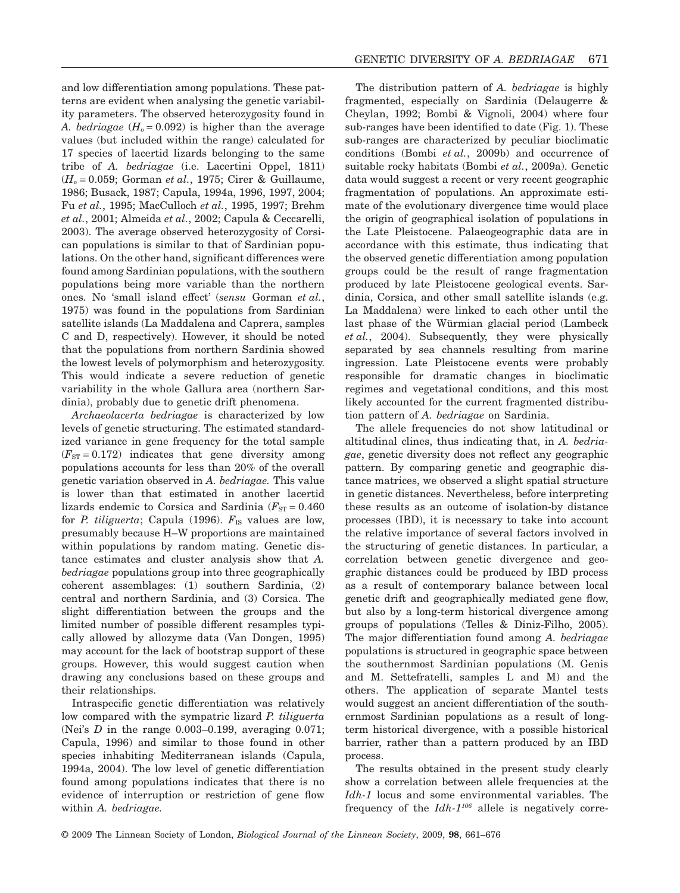and low differentiation among populations. These patterns are evident when analysing the genetic variability parameters. The observed heterozygosity found in *A. bedriagae*  $(H_0 = 0.092)$  is higher than the average values (but included within the range) calculated for 17 species of lacertid lizards belonging to the same tribe of *A. bedriagae* (i.e. Lacertini Oppel, 1811) (*H*<sup>o</sup> = 0.059; Gorman *et al.*, 1975; Cirer & Guillaume, 1986; Busack, 1987; Capula, 1994a, 1996, 1997, 2004; Fu *et al.*, 1995; MacCulloch *et al.*, 1995, 1997; Brehm *et al.*, 2001; Almeida *et al.*, 2002; Capula & Ceccarelli, 2003). The average observed heterozygosity of Corsican populations is similar to that of Sardinian populations. On the other hand, significant differences were found among Sardinian populations, with the southern populations being more variable than the northern ones. No 'small island effect' (*sensu* Gorman *et al.*, 1975) was found in the populations from Sardinian satellite islands (La Maddalena and Caprera, samples C and D, respectively). However, it should be noted that the populations from northern Sardinia showed the lowest levels of polymorphism and heterozygosity. This would indicate a severe reduction of genetic variability in the whole Gallura area (northern Sardinia), probably due to genetic drift phenomena.

*Archaeolacerta bedriagae* is characterized by low levels of genetic structuring. The estimated standardized variance in gene frequency for the total sample  $(F_{ST} = 0.172)$  indicates that gene diversity among populations accounts for less than 20% of the overall genetic variation observed in *A. bedriagae.* This value is lower than that estimated in another lacertid lizards endemic to Corsica and Sardinia ( $F_{ST} = 0.460$ for *P. tiliguerta*; Capula (1996).  $F_{\text{IS}}$  values are low, presumably because H–W proportions are maintained within populations by random mating. Genetic distance estimates and cluster analysis show that *A. bedriagae* populations group into three geographically coherent assemblages: (1) southern Sardinia, (2) central and northern Sardinia, and (3) Corsica. The slight differentiation between the groups and the limited number of possible different resamples typically allowed by allozyme data (Van Dongen, 1995) may account for the lack of bootstrap support of these groups. However, this would suggest caution when drawing any conclusions based on these groups and their relationships.

Intraspecific genetic differentiation was relatively low compared with the sympatric lizard *P. tiliguerta* (Nei's *D* in the range 0.003–0.199, averaging 0.071; Capula, 1996) and similar to those found in other species inhabiting Mediterranean islands (Capula, 1994a, 2004). The low level of genetic differentiation found among populations indicates that there is no evidence of interruption or restriction of gene flow within *A. bedriagae.*

The distribution pattern of *A. bedriagae* is highly fragmented, especially on Sardinia (Delaugerre & Cheylan, 1992; Bombi & Vignoli, 2004) where four sub-ranges have been identified to date (Fig. 1). These sub-ranges are characterized by peculiar bioclimatic conditions (Bombi *et al.*, 2009b) and occurrence of suitable rocky habitats (Bombi *et al.*, 2009a). Genetic data would suggest a recent or very recent geographic fragmentation of populations. An approximate estimate of the evolutionary divergence time would place the origin of geographical isolation of populations in the Late Pleistocene. Palaeogeographic data are in accordance with this estimate, thus indicating that the observed genetic differentiation among population groups could be the result of range fragmentation produced by late Pleistocene geological events. Sardinia, Corsica, and other small satellite islands (e.g. La Maddalena) were linked to each other until the last phase of the Würmian glacial period (Lambeck *et al.*, 2004). Subsequently, they were physically separated by sea channels resulting from marine ingression. Late Pleistocene events were probably responsible for dramatic changes in bioclimatic regimes and vegetational conditions, and this most likely accounted for the current fragmented distribution pattern of *A. bedriagae* on Sardinia.

The allele frequencies do not show latitudinal or altitudinal clines, thus indicating that, in *A. bedriagae*, genetic diversity does not reflect any geographic pattern. By comparing genetic and geographic distance matrices, we observed a slight spatial structure in genetic distances. Nevertheless, before interpreting these results as an outcome of isolation-by distance processes (IBD), it is necessary to take into account the relative importance of several factors involved in the structuring of genetic distances. In particular, a correlation between genetic divergence and geographic distances could be produced by IBD process as a result of contemporary balance between local genetic drift and geographically mediated gene flow, but also by a long-term historical divergence among groups of populations (Telles & Diniz-Filho, 2005). The major differentiation found among *A. bedriagae* populations is structured in geographic space between the southernmost Sardinian populations (M. Genis and M. Settefratelli, samples L and M) and the others. The application of separate Mantel tests would suggest an ancient differentiation of the southernmost Sardinian populations as a result of longterm historical divergence, with a possible historical barrier, rather than a pattern produced by an IBD process.

The results obtained in the present study clearly show a correlation between allele frequencies at the *Idh-1* locus and some environmental variables. The frequency of the *Idh-1106* allele is negatively corre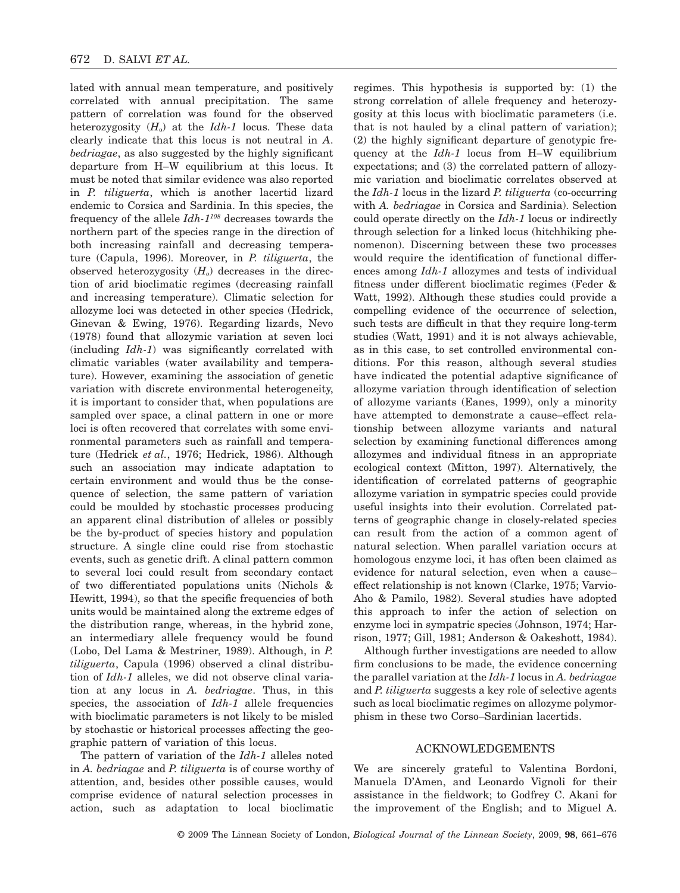lated with annual mean temperature, and positively correlated with annual precipitation. The same pattern of correlation was found for the observed heterozygosity  $(H_0)$  at the *Idh-1* locus. These data clearly indicate that this locus is not neutral in *A*. *bedriagae*, as also suggested by the highly significant departure from H–W equilibrium at this locus. It must be noted that similar evidence was also reported in *P. tiliguerta*, which is another lacertid lizard endemic to Corsica and Sardinia. In this species, the frequency of the allele *Idh-1108* decreases towards the northern part of the species range in the direction of both increasing rainfall and decreasing temperature (Capula, 1996). Moreover, in *P. tiliguerta*, the observed heterozygosity  $(H<sub>o</sub>)$  decreases in the direction of arid bioclimatic regimes (decreasing rainfall and increasing temperature). Climatic selection for allozyme loci was detected in other species (Hedrick, Ginevan & Ewing, 1976). Regarding lizards, Nevo (1978) found that allozymic variation at seven loci (including *Idh-1*) was significantly correlated with climatic variables (water availability and temperature). However, examining the association of genetic variation with discrete environmental heterogeneity, it is important to consider that, when populations are sampled over space, a clinal pattern in one or more loci is often recovered that correlates with some environmental parameters such as rainfall and temperature (Hedrick *et al.*, 1976; Hedrick, 1986). Although such an association may indicate adaptation to certain environment and would thus be the consequence of selection, the same pattern of variation could be moulded by stochastic processes producing an apparent clinal distribution of alleles or possibly be the by-product of species history and population structure. A single cline could rise from stochastic events, such as genetic drift. A clinal pattern common to several loci could result from secondary contact of two differentiated populations units (Nichols & Hewitt, 1994), so that the specific frequencies of both units would be maintained along the extreme edges of the distribution range, whereas, in the hybrid zone, an intermediary allele frequency would be found (Lobo, Del Lama & Mestriner, 1989). Although, in *P. tiliguerta*, Capula (1996) observed a clinal distribution of *Idh-1* alleles, we did not observe clinal variation at any locus in *A. bedriagae*. Thus, in this species, the association of *Idh-1* allele frequencies with bioclimatic parameters is not likely to be misled by stochastic or historical processes affecting the geographic pattern of variation of this locus.

The pattern of variation of the *Idh-1* alleles noted in *A. bedriagae* and *P. tiliguerta* is of course worthy of attention, and, besides other possible causes, would comprise evidence of natural selection processes in action, such as adaptation to local bioclimatic

regimes. This hypothesis is supported by: (1) the strong correlation of allele frequency and heterozygosity at this locus with bioclimatic parameters (i.e. that is not hauled by a clinal pattern of variation); (2) the highly significant departure of genotypic frequency at the *Idh-1* locus from H–W equilibrium expectations; and (3) the correlated pattern of allozymic variation and bioclimatic correlates observed at the *Idh-1* locus in the lizard *P. tiliguerta* (co-occurring with *A. bedriagae* in Corsica and Sardinia). Selection could operate directly on the *Idh-1* locus or indirectly through selection for a linked locus (hitchhiking phenomenon). Discerning between these two processes would require the identification of functional differences among *Idh-1* allozymes and tests of individual fitness under different bioclimatic regimes (Feder & Watt, 1992). Although these studies could provide a compelling evidence of the occurrence of selection, such tests are difficult in that they require long-term studies (Watt, 1991) and it is not always achievable, as in this case, to set controlled environmental conditions. For this reason, although several studies have indicated the potential adaptive significance of allozyme variation through identification of selection of allozyme variants (Eanes, 1999), only a minority have attempted to demonstrate a cause–effect relationship between allozyme variants and natural selection by examining functional differences among allozymes and individual fitness in an appropriate ecological context (Mitton, 1997). Alternatively, the identification of correlated patterns of geographic allozyme variation in sympatric species could provide useful insights into their evolution. Correlated patterns of geographic change in closely-related species can result from the action of a common agent of natural selection. When parallel variation occurs at homologous enzyme loci, it has often been claimed as evidence for natural selection, even when a cause– effect relationship is not known (Clarke, 1975; Varvio-Aho & Pamilo, 1982). Several studies have adopted this approach to infer the action of selection on enzyme loci in sympatric species (Johnson, 1974; Harrison, 1977; Gill, 1981; Anderson & Oakeshott, 1984).

Although further investigations are needed to allow firm conclusions to be made, the evidence concerning the parallel variation at the *Idh-1* locus in *A. bedriagae* and *P. tiliguerta* suggests a key role of selective agents such as local bioclimatic regimes on allozyme polymorphism in these two Corso–Sardinian lacertids.

# ACKNOWLEDGEMENTS

We are sincerely grateful to Valentina Bordoni, Manuela D'Amen, and Leonardo Vignoli for their assistance in the fieldwork; to Godfrey C. Akani for the improvement of the English; and to Miguel A.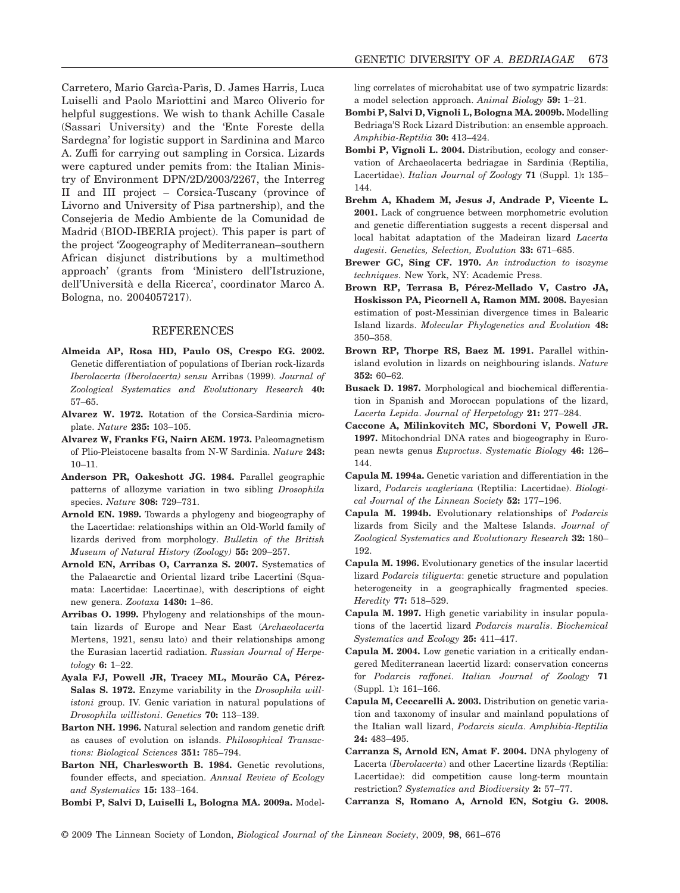Carretero, Mario Garcìa-Parìs, D. James Harris, Luca Luiselli and Paolo Mariottini and Marco Oliverio for helpful suggestions. We wish to thank Achille Casale (Sassari University) and the 'Ente Foreste della Sardegna' for logistic support in Sardinina and Marco A. Zuffi for carrying out sampling in Corsica. Lizards were captured under pemits from: the Italian Ministry of Environment DPN/2D/2003/2267, the Interreg II and III project – Corsica-Tuscany (province of Livorno and University of Pisa partnership), and the Consejeria de Medio Ambiente de la Comunidad de Madrid (BIOD-IBERIA project). This paper is part of the project 'Zoogeography of Mediterranean–southern African disjunct distributions by a multimethod approach' (grants from 'Ministero dell'Istruzione, dell'Università e della Ricerca', coordinator Marco A. Bologna, no. 2004057217).

## REFERENCES

- **Almeida AP, Rosa HD, Paulo OS, Crespo EG. 2002.** Genetic differentiation of populations of Iberian rock-lizards *Iberolacerta (Iberolacerta) sensu* Arribas (1999). *Journal of Zoological Systematics and Evolutionary Research* **40:** 57–65.
- **Alvarez W. 1972.** Rotation of the Corsica-Sardinia microplate. *Nature* **235:** 103–105.
- **Alvarez W, Franks FG, Nairn AEM. 1973.** Paleomagnetism of Plio-Pleistocene basalts from N-W Sardinia. *Nature* **243:**  $10-11$ .
- **Anderson PR, Oakeshott JG. 1984.** Parallel geographic patterns of allozyme variation in two sibling *Drosophila* species. *Nature* **308:** 729–731.
- **Arnold EN. 1989.** Towards a phylogeny and biogeography of the Lacertidae: relationships within an Old-World family of lizards derived from morphology. *Bulletin of the British Museum of Natural History (Zoology)* **55:** 209–257.
- **Arnold EN, Arribas O, Carranza S. 2007.** Systematics of the Palaearctic and Oriental lizard tribe Lacertini (Squamata: Lacertidae: Lacertinae), with descriptions of eight new genera. *Zootaxa* **1430:** 1–86.
- **Arribas O. 1999.** Phylogeny and relationships of the mountain lizards of Europe and Near East (*Archaeolacerta* Mertens, 1921, sensu lato) and their relationships among the Eurasian lacertid radiation. *Russian Journal of Herpetology* **6:** 1–22.
- **Ayala FJ, Powell JR, Tracey ML, Mourão CA, Pérez-Salas S. 1972.** Enzyme variability in the *Drosophila willistoni* group. IV. Genic variation in natural populations of *Drosophila willistoni*. *Genetics* **70:** 113–139.
- **Barton NH. 1996.** Natural selection and random genetic drift as causes of evolution on islands. *Philosophical Transactions: Biological Sciences* **351:** 785–794.
- **Barton NH, Charlesworth B. 1984.** Genetic revolutions, founder effects, and speciation. *Annual Review of Ecology and Systematics* **15:** 133–164.

**Bombi P, Salvi D, Luiselli L, Bologna MA. 2009a.** Model-

ling correlates of microhabitat use of two sympatric lizards: a model selection approach. *Animal Biology* **59:** 1–21.

- **Bombi P, Salvi D, Vignoli L, Bologna MA. 2009b.** Modelling Bedriaga'S Rock Lizard Distribution: an ensemble approach. *Amphibia-Reptilia* **30:** 413–424.
- **Bombi P, Vignoli L. 2004.** Distribution, ecology and conservation of Archaeolacerta bedriagae in Sardinia (Reptilia, Lacertidae). *Italian Journal of Zoology* **71** (Suppl. 1)**:** 135– 144.
- **Brehm A, Khadem M, Jesus J, Andrade P, Vicente L. 2001.** Lack of congruence between morphometric evolution and genetic differentiation suggests a recent dispersal and local habitat adaptation of the Madeiran lizard *Lacerta dugesii*. *Genetics, Selection, Evolution* **33:** 671–685.
- **Brewer GC, Sing CF. 1970.** *An introduction to isozyme techniques*. New York, NY: Academic Press.
- **Brown RP, Terrasa B, Pérez-Mellado V, Castro JA, Hoskisson PA, Picornell A, Ramon MM. 2008.** Bayesian estimation of post-Messinian divergence times in Balearic Island lizards. *Molecular Phylogenetics and Evolution* **48:** 350–358.
- **Brown RP, Thorpe RS, Baez M. 1991.** Parallel withinisland evolution in lizards on neighbouring islands. *Nature* **352:** 60–62.
- **Busack D. 1987.** Morphological and biochemical differentiation in Spanish and Moroccan populations of the lizard, *Lacerta Lepida*. *Journal of Herpetology* **21:** 277–284.
- **Caccone A, Milinkovitch MC, Sbordoni V, Powell JR. 1997.** Mitochondrial DNA rates and biogeography in European newts genus *Euproctus*. *Systematic Biology* **46:** 126– 144.
- **Capula M. 1994a.** Genetic variation and differentiation in the lizard, *Podarcis wagleriana* (Reptilia: Lacertidae). *Biological Journal of the Linnean Society* **52:** 177–196.
- **Capula M. 1994b.** Evolutionary relationships of *Podarcis* lizards from Sicily and the Maltese Islands. *Journal of Zoological Systematics and Evolutionary Research* **32:** 180– 192.
- **Capula M. 1996.** Evolutionary genetics of the insular lacertid lizard *Podarcis tiliguerta*: genetic structure and population heterogeneity in a geographically fragmented species. *Heredity* **77:** 518–529.
- **Capula M. 1997.** High genetic variability in insular populations of the lacertid lizard *Podarcis muralis*. *Biochemical Systematics and Ecology* **25:** 411–417.
- **Capula M. 2004.** Low genetic variation in a critically endangered Mediterranean lacertid lizard: conservation concerns for *Podarcis raffonei*. *Italian Journal of Zoology* **71** (Suppl. 1)**:** 161–166.
- **Capula M, Ceccarelli A. 2003.** Distribution on genetic variation and taxonomy of insular and mainland populations of the Italian wall lizard, *Podarcis sicula*. *Amphibia-Reptilia* **24:** 483–495.
- **Carranza S, Arnold EN, Amat F. 2004.** DNA phylogeny of Lacerta (*Iberolacerta*) and other Lacertine lizards (Reptilia: Lacertidae): did competition cause long-term mountain restriction? *Systematics and Biodiversity* **2:** 57–77.
- **Carranza S, Romano A, Arnold EN, Sotgiu G. 2008.**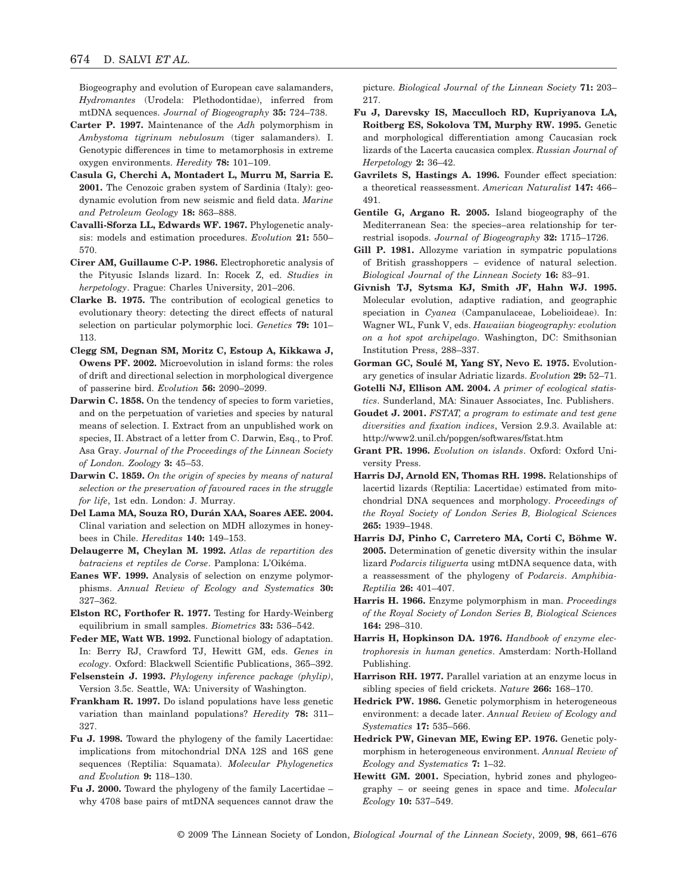Biogeography and evolution of European cave salamanders, *Hydromantes* (Urodela: Plethodontidae), inferred from mtDNA sequences. *Journal of Biogeography* **35:** 724–738.

- **Carter P. 1997.** Maintenance of the *Adh* polymorphism in *Ambystoma tigrinum nebulosum* (tiger salamanders). I. Genotypic differences in time to metamorphosis in extreme oxygen environments. *Heredity* **78:** 101–109.
- **Casula G, Cherchi A, Montadert L, Murru M, Sarria E. 2001.** The Cenozoic graben system of Sardinia (Italy): geodynamic evolution from new seismic and field data. *Marine and Petroleum Geology* **18:** 863–888.
- **Cavalli-Sforza LL, Edwards WF. 1967.** Phylogenetic analysis: models and estimation procedures. *Evolution* **21:** 550– 570.
- **Cirer AM, Guillaume C-P. 1986.** Electrophoretic analysis of the Pityusic Islands lizard. In: Rocek Z, ed. *Studies in herpetology*. Prague: Charles University, 201–206.
- **Clarke B. 1975.** The contribution of ecological genetics to evolutionary theory: detecting the direct effects of natural selection on particular polymorphic loci. *Genetics* **79:** 101– 113.
- **Clegg SM, Degnan SM, Moritz C, Estoup A, Kikkawa J, Owens PF. 2002.** Microevolution in island forms: the roles of drift and directional selection in morphological divergence of passerine bird. *Evolution* **56:** 2090–2099.
- **Darwin C. 1858.** On the tendency of species to form varieties, and on the perpetuation of varieties and species by natural means of selection. I. Extract from an unpublished work on species, II. Abstract of a letter from C. Darwin, Esq., to Prof. Asa Gray. *Journal of the Proceedings of the Linnean Society of London. Zoology* **3:** 45–53.
- **Darwin C. 1859.** *On the origin of species by means of natural selection or the preservation of favoured races in the struggle for life*, 1st edn. London: J. Murray.
- **Del Lama MA, Souza RO, Durán XAA, Soares AEE. 2004.** Clinal variation and selection on MDH allozymes in honeybees in Chile. *Hereditas* **140:** 149–153.
- **Delaugerre M, Cheylan M. 1992.** *Atlas de repartition des batraciens et reptiles de Corse*. Pamplona: L'Oikéma.
- **Eanes WF. 1999.** Analysis of selection on enzyme polymorphisms. *Annual Review of Ecology and Systematics* **30:** 327–362.
- **Elston RC, Forthofer R. 1977.** Testing for Hardy-Weinberg equilibrium in small samples. *Biometrics* **33:** 536–542.
- **Feder ME, Watt WB. 1992.** Functional biology of adaptation. In: Berry RJ, Crawford TJ, Hewitt GM, eds. *Genes in ecology*. Oxford: Blackwell Scientific Publications, 365–392.
- **Felsenstein J. 1993.** *Phylogeny inference package (phylip)*, Version 3.5c. Seattle, WA: University of Washington.
- **Frankham R. 1997.** Do island populations have less genetic variation than mainland populations? *Heredity* **78:** 311– 327.
- **Fu J. 1998.** Toward the phylogeny of the family Lacertidae: implications from mitochondrial DNA 12S and 16S gene sequences (Reptilia: Squamata). *Molecular Phylogenetics and Evolution* **9:** 118–130.
- **Fu J. 2000.** Toward the phylogeny of the family Lacertidae why 4708 base pairs of mtDNA sequences cannot draw the

picture. *Biological Journal of the Linnean Society* **71:** 203– 217.

- **Fu J, Darevsky IS, Macculloch RD, Kupriyanova LA, Roitberg ES, Sokolova TM, Murphy RW. 1995.** Genetic and morphological differentiation among Caucasian rock lizards of the Lacerta caucasica complex. *Russian Journal of Herpetology* **2:** 36–42.
- **Gavrilets S, Hastings A. 1996.** Founder effect speciation: a theoretical reassessment. *American Naturalist* **147:** 466– 491.
- **Gentile G, Argano R. 2005.** Island biogeography of the Mediterranean Sea: the species–area relationship for terrestrial isopods. *Journal of Biogeography* **32:** 1715–1726.
- **Gill P. 1981.** Allozyme variation in sympatric populations of British grasshoppers – evidence of natural selection. *Biological Journal of the Linnean Society* **16:** 83–91.
- **Givnish TJ, Sytsma KJ, Smith JF, Hahn WJ. 1995.** Molecular evolution, adaptive radiation, and geographic speciation in *Cyanea* (Campanulaceae, Lobelioideae). In: Wagner WL, Funk V, eds. *Hawaiian biogeography: evolution on a hot spot archipelago*. Washington, DC: Smithsonian Institution Press, 288–337.
- **Gorman GC, Soulé M, Yang SY, Nevo E. 1975.** Evolutionary genetics of insular Adriatic lizards. *Evolution* **29:** 52–71.
- **Gotelli NJ, Ellison AM. 2004.** *A primer of ecological statistics*. Sunderland, MA: Sinauer Associates, Inc. Publishers.
- **Goudet J. 2001.** *FSTAT, a program to estimate and test gene diversities and fixation indices*, Version 2.9.3. Available at: http://www2.unil.ch/popgen/softwares/fstat.htm
- **Grant PR. 1996.** *Evolution on islands*. Oxford: Oxford University Press.
- **Harris DJ, Arnold EN, Thomas RH. 1998.** Relationships of lacertid lizards (Reptilia: Lacertidae) estimated from mitochondrial DNA sequences and morphology. *Proceedings of the Royal Society of London Series B, Biological Sciences* **265:** 1939–1948.
- **Harris DJ, Pinho C, Carretero MA, Corti C, Böhme W. 2005.** Determination of genetic diversity within the insular lizard *Podarcis tiliguerta* using mtDNA sequence data, with a reassessment of the phylogeny of *Podarcis*. *Amphibia-Reptilia* **26:** 401–407.
- **Harris H. 1966.** Enzyme polymorphism in man. *Proceedings of the Royal Society of London Series B, Biological Sciences* **164:** 298–310.
- **Harris H, Hopkinson DA. 1976.** *Handbook of enzyme electrophoresis in human genetics*. Amsterdam: North-Holland Publishing.
- **Harrison RH. 1977.** Parallel variation at an enzyme locus in sibling species of field crickets. *Nature* **266:** 168–170.
- **Hedrick PW. 1986.** Genetic polymorphism in heterogeneous environment: a decade later. *Annual Review of Ecology and Systematics* **17:** 535–566.
- **Hedrick PW, Ginevan ME, Ewing EP. 1976.** Genetic polymorphism in heterogeneous environment. *Annual Review of Ecology and Systematics* **7:** 1–32.
- **Hewitt GM. 2001.** Speciation, hybrid zones and phylogeography – or seeing genes in space and time. *Molecular Ecology* **10:** 537–549.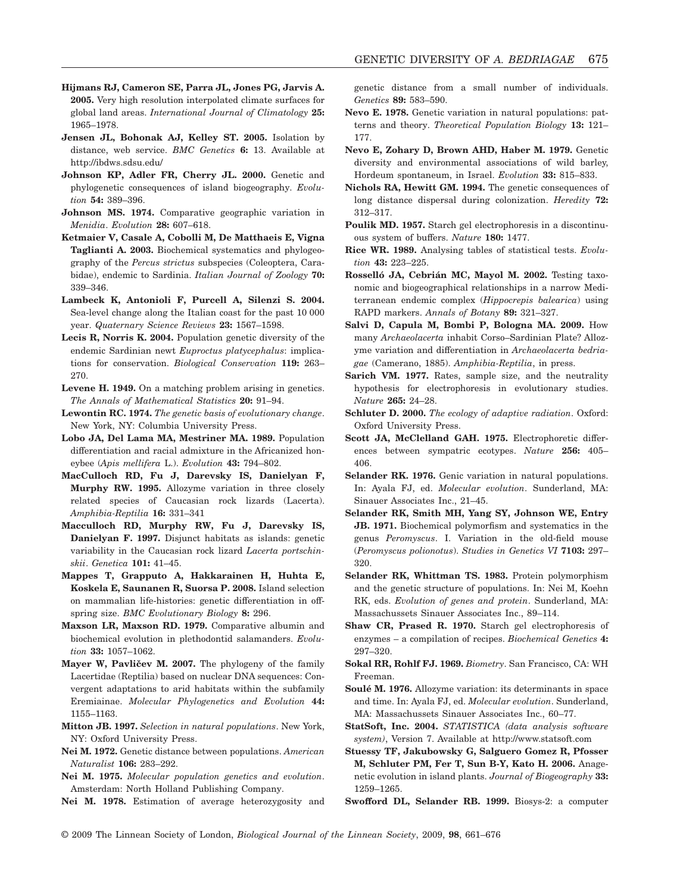- **Hijmans RJ, Cameron SE, Parra JL, Jones PG, Jarvis A. 2005.** Very high resolution interpolated climate surfaces for global land areas. *International Journal of Climatology* **25:** 1965–1978.
- **Jensen JL, Bohonak AJ, Kelley ST. 2005.** Isolation by distance, web service. *BMC Genetics* **6:** 13. Available at http://ibdws.sdsu.edu/
- **Johnson KP, Adler FR, Cherry JL. 2000.** Genetic and phylogenetic consequences of island biogeography. *Evolution* **54:** 389–396.
- **Johnson MS. 1974.** Comparative geographic variation in *Menidia*. *Evolution* **28:** 607–618.
- **Ketmaier V, Casale A, Cobolli M, De Matthaeis E, Vigna Taglianti A. 2003.** Biochemical systematics and phylogeography of the *Percus strictus* subspecies (Coleoptera, Carabidae), endemic to Sardinia. *Italian Journal of Zoology* **70:** 339–346.
- **Lambeck K, Antonioli F, Purcell A, Silenzi S. 2004.** Sea-level change along the Italian coast for the past 10 000 year. *Quaternary Science Reviews* **23:** 1567–1598.
- **Lecis R, Norris K. 2004.** Population genetic diversity of the endemic Sardinian newt *Euproctus platycephalus*: implications for conservation. *Biological Conservation* **119:** 263– 270.
- Levene H. 1949. On a matching problem arising in genetics. *The Annals of Mathematical Statistics* **20:** 91–94.
- **Lewontin RC. 1974.** *The genetic basis of evolutionary change*. New York, NY: Columbia University Press.
- **Lobo JA, Del Lama MA, Mestriner MA. 1989.** Population differentiation and racial admixture in the Africanized honeybee (*Apis mellifera* L.). *Evolution* **43:** 794–802.
- **MacCulloch RD, Fu J, Darevsky IS, Danielyan F, Murphy RW. 1995.** Allozyme variation in three closely related species of Caucasian rock lizards (Lacerta). *Amphibia-Reptilia* **16:** 331–341
- **Macculloch RD, Murphy RW, Fu J, Darevsky IS, Danielyan F. 1997.** Disjunct habitats as islands: genetic variability in the Caucasian rock lizard *Lacerta portschinskii*. *Genetica* **101:** 41–45.
- **Mappes T, Grapputo A, Hakkarainen H, Huhta E, Koskela E, Saunanen R, Suorsa P. 2008.** Island selection on mammalian life-histories: genetic differentiation in offspring size. *BMC Evolutionary Biology* **8:** 296.
- **Maxson LR, Maxson RD. 1979.** Comparative albumin and biochemical evolution in plethodontid salamanders. *Evolution* **33:** 1057–1062.
- Mayer W, Pavličev M. 2007. The phylogeny of the family Lacertidae (Reptilia) based on nuclear DNA sequences: Convergent adaptations to arid habitats within the subfamily Eremiainae. *Molecular Phylogenetics and Evolution* **44:** 1155–1163.
- **Mitton JB. 1997.** *Selection in natural populations*. New York, NY: Oxford University Press.
- **Nei M. 1972.** Genetic distance between populations. *American Naturalist* **106:** 283–292.
- **Nei M. 1975.** *Molecular population genetics and evolution*. Amsterdam: North Holland Publishing Company.
- **Nei M. 1978.** Estimation of average heterozygosity and

genetic distance from a small number of individuals. *Genetics* **89:** 583–590.

- **Nevo E. 1978.** Genetic variation in natural populations: patterns and theory. *Theoretical Population Biology* **13:** 121– 177.
- **Nevo E, Zohary D, Brown AHD, Haber M. 1979.** Genetic diversity and environmental associations of wild barley, Hordeum spontaneum, in Israel. *Evolution* **33:** 815–833.
- **Nichols RA, Hewitt GM. 1994.** The genetic consequences of long distance dispersal during colonization. *Heredity* **72:** 312–317.
- **Poulik MD. 1957.** Starch gel electrophoresis in a discontinuous system of buffers. *Nature* **180:** 1477.
- **Rice WR. 1989.** Analysing tables of statistical tests. *Evolution* **43:** 223–225.
- **Rosselló JA, Cebrián MC, Mayol M. 2002.** Testing taxonomic and biogeographical relationships in a narrow Mediterranean endemic complex (*Hippocrepis balearica*) using RAPD markers. *Annals of Botany* **89:** 321–327.
- **Salvi D, Capula M, Bombi P, Bologna MA. 2009.** How many *Archaeolacerta* inhabit Corso–Sardinian Plate? Allozyme variation and differentiation in *Archaeolacerta bedriagae* (Camerano, 1885). *Amphibia-Reptilia*, in press.
- **Sarich VM. 1977.** Rates, sample size, and the neutrality hypothesis for electrophoresis in evolutionary studies. *Nature* **265:** 24–28.
- **Schluter D. 2000.** *The ecology of adaptive radiation*. Oxford: Oxford University Press.
- **Scott JA, McClelland GAH. 1975.** Electrophoretic differences between sympatric ecotypes. *Nature* **256:** 405– 406.
- **Selander RK. 1976.** Genic variation in natural populations. In: Ayala FJ, ed. *Molecular evolution*. Sunderland, MA: Sinauer Associates Inc., 21–45.
- **Selander RK, Smith MH, Yang SY, Johnson WE, Entry JB. 1971.** Biochemical polymorfism and systematics in the genus *Peromyscus*. I. Variation in the old-field mouse (*Peromyscus polionotus*). *Studies in Genetics VI* **7103:** 297– 320.
- **Selander RK, Whittman TS. 1983.** Protein polymorphism and the genetic structure of populations. In: Nei M, Koehn RK, eds. *Evolution of genes and protein*. Sunderland, MA: Massachussets Sinauer Associates Inc., 89–114.
- **Shaw CR, Prased R. 1970.** Starch gel electrophoresis of enzymes – a compilation of recipes. *Biochemical Genetics* **4:** 297–320.
- **Sokal RR, Rohlf FJ. 1969.** *Biometry*. San Francisco, CA: WH Freeman.
- **Soulé M. 1976.** Allozyme variation: its determinants in space and time. In: Ayala FJ, ed. *Molecular evolution*. Sunderland, MA: Massachussets Sinauer Associates Inc., 60–77.
- **StatSoft, Inc. 2004.** *STATISTICA (data analysis software system)*, Version 7. Available at http://www.statsoft.com
- **Stuessy TF, Jakubowsky G, Salguero Gomez R, Pfosser M, Schluter PM, Fer T, Sun B-Y, Kato H. 2006.** Anagenetic evolution in island plants. *Journal of Biogeography* **33:** 1259–1265.
- **Swofford DL, Selander RB. 1999.** Biosys-2: a computer